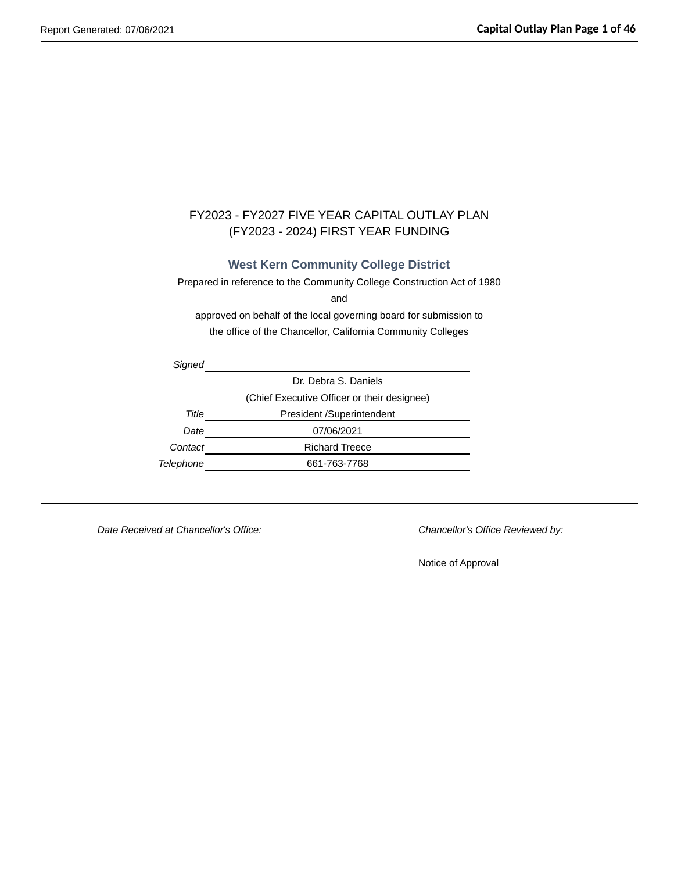## FY2023 - FY2027 FIVE YEAR CAPITAL OUTLAY PLAN (FY2023 - 2024) FIRST YEAR FUNDING

### **West Kern Community College District**

Prepared in reference to the Community College Construction Act of 1980

and

approved on behalf of the local governing board for submission to the office of the Chancellor, California Community Colleges

*Signed* Dr. Debra S. Daniels (Chief Executive Officer or their designee) **Title** President /Superintendent *Date* 07/06/2021 **Contact Richard Treece** *Telephone* 661-763-7768

*Date Received at Chancellor's Office: Chancellor's Office Reviewed by:*

Notice of Approval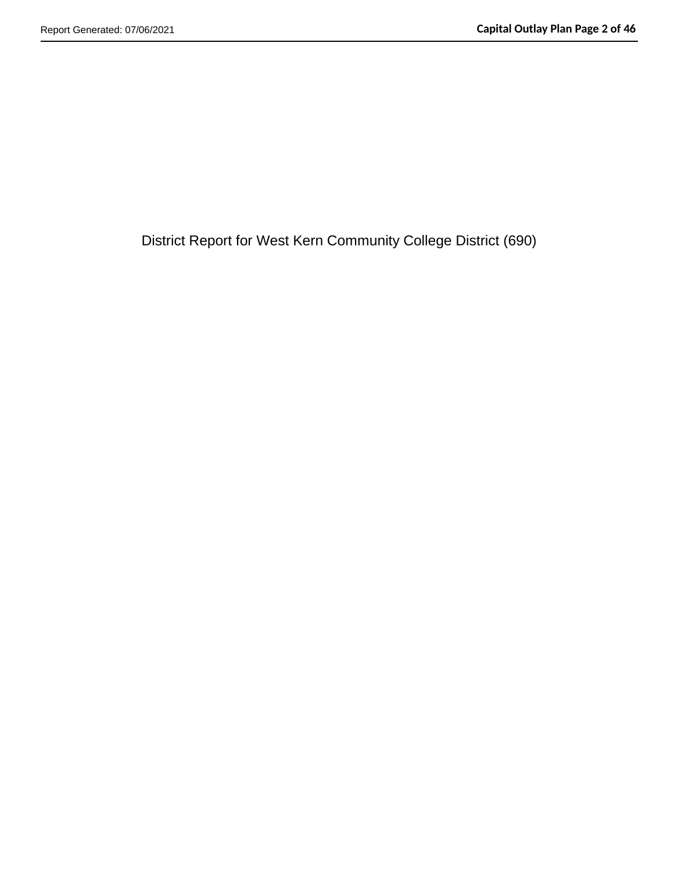District Report for West Kern Community College District (690)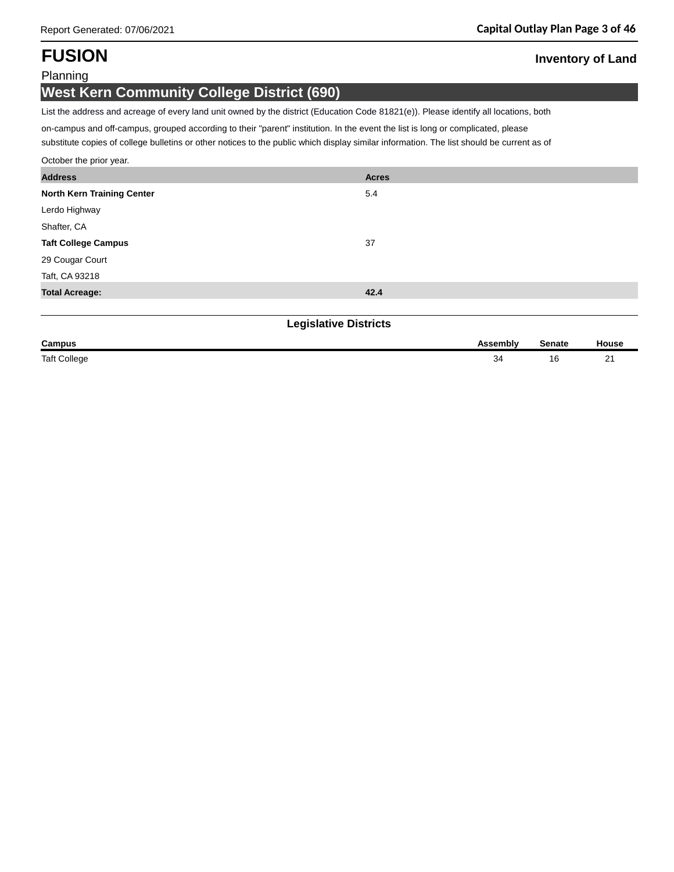# **FUSION Inventory of Land**

### Planning

## **West Kern Community College District (690)**

List the address and acreage of every land unit owned by the district (Education Code 81821(e)). Please identify all locations, both

on-campus and off-campus, grouped according to their "parent" institution. In the event the list is long or complicated, please

substitute copies of college bulletins or other notices to the public which display similar information. The list should be current as of

| October the prior year.      |              |
|------------------------------|--------------|
| <b>Address</b>               | <b>Acres</b> |
| North Kern Training Center   | 5.4          |
| Lerdo Highway                |              |
| Shafter, CA                  |              |
| <b>Taft College Campus</b>   | 37           |
| 29 Cougar Court              |              |
| Taft, CA 93218               |              |
| <b>Total Acreage:</b>        | 42.4         |
|                              |              |
| <b>Legislative Districts</b> |              |
|                              |              |

| Campus              | <b>\ssemblv</b> | ි≏nate              | lousc |
|---------------------|-----------------|---------------------|-------|
| <b>Taft College</b> | $\sim$ .        | . .<br>⊥∪<br>$\sim$ | $-+$  |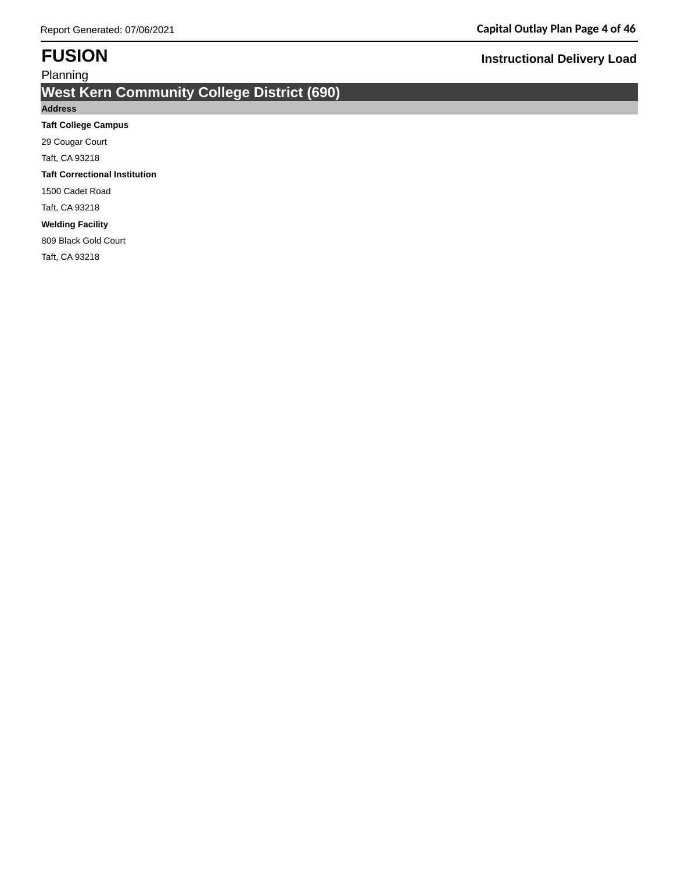# **West Kern Community College District (690)**

### **Address**

### **Taft College Campus**

29 Cougar Court

Taft, CA 93218

### **Taft Correctional Institution**

1500 Cadet Road

Taft, CA 93218

### **Welding Facility**

809 Black Gold Court

Taft, CA 93218

## **FUSION Instructional Delivery Load**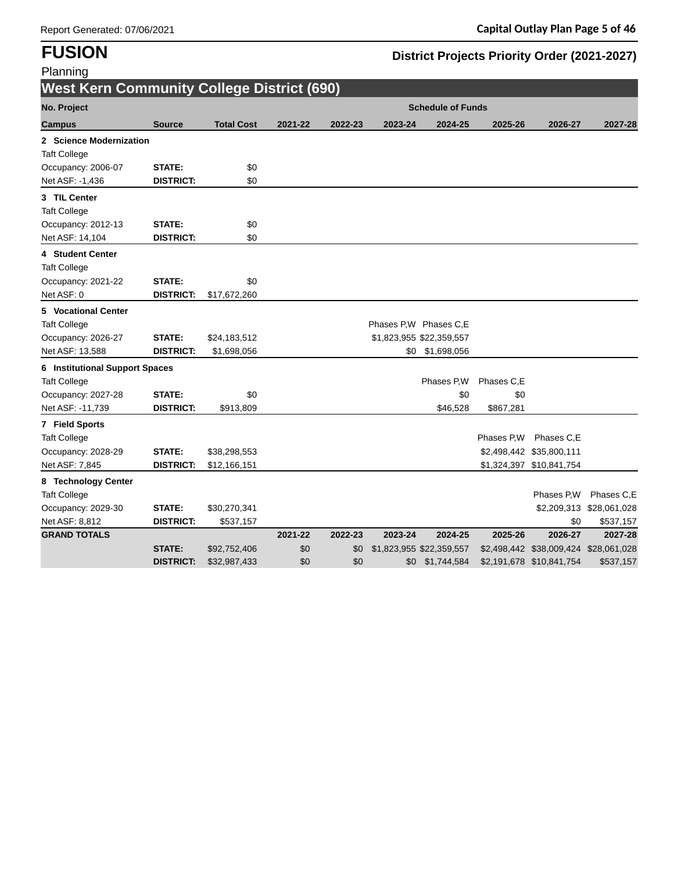**FUSION District Projects Priority Order (2021-2027)**

| Planning                                          |                  |                   |         |         |         |                          |            |                                       |                          |
|---------------------------------------------------|------------------|-------------------|---------|---------|---------|--------------------------|------------|---------------------------------------|--------------------------|
| <b>West Kern Community College District (690)</b> |                  |                   |         |         |         |                          |            |                                       |                          |
| No. Project                                       |                  |                   |         |         |         | <b>Schedule of Funds</b> |            |                                       |                          |
| <b>Campus</b>                                     | <b>Source</b>    | <b>Total Cost</b> | 2021-22 | 2022-23 | 2023-24 | 2024-25                  | 2025-26    | 2026-27                               | 2027-28                  |
| 2 Science Modernization                           |                  |                   |         |         |         |                          |            |                                       |                          |
| <b>Taft College</b>                               |                  |                   |         |         |         |                          |            |                                       |                          |
| Occupancy: 2006-07                                | <b>STATE:</b>    | \$0               |         |         |         |                          |            |                                       |                          |
| Net ASF: -1,436                                   | <b>DISTRICT:</b> | \$0               |         |         |         |                          |            |                                       |                          |
| 3 TIL Center                                      |                  |                   |         |         |         |                          |            |                                       |                          |
| <b>Taft College</b>                               |                  |                   |         |         |         |                          |            |                                       |                          |
| Occupancy: 2012-13                                | <b>STATE:</b>    | \$0               |         |         |         |                          |            |                                       |                          |
| Net ASF: 14,104                                   | <b>DISTRICT:</b> | \$0               |         |         |         |                          |            |                                       |                          |
| 4 Student Center                                  |                  |                   |         |         |         |                          |            |                                       |                          |
| <b>Taft College</b>                               |                  |                   |         |         |         |                          |            |                                       |                          |
| Occupancy: 2021-22                                | STATE:           | \$0               |         |         |         |                          |            |                                       |                          |
| Net ASF: 0                                        | <b>DISTRICT:</b> | \$17,672,260      |         |         |         |                          |            |                                       |                          |
| 5 Vocational Center                               |                  |                   |         |         |         |                          |            |                                       |                          |
| <b>Taft College</b>                               |                  |                   |         |         |         | Phases P,W Phases C,E    |            |                                       |                          |
| Occupancy: 2026-27                                | <b>STATE:</b>    | \$24,183,512      |         |         |         | \$1,823,955 \$22,359,557 |            |                                       |                          |
| Net ASF: 13,588                                   | <b>DISTRICT:</b> | \$1,698,056       |         |         | \$0     | \$1,698,056              |            |                                       |                          |
| <b>6</b> Institutional Support Spaces             |                  |                   |         |         |         |                          |            |                                       |                          |
| <b>Taft College</b>                               |                  |                   |         |         |         | Phases P,W               | Phases C,E |                                       |                          |
| Occupancy: 2027-28                                | <b>STATE:</b>    | \$0               |         |         |         | \$0                      | \$0        |                                       |                          |
| Net ASF: -11,739                                  | <b>DISTRICT:</b> | \$913,809         |         |         |         | \$46,528                 | \$867,281  |                                       |                          |
| 7 Field Sports                                    |                  |                   |         |         |         |                          |            |                                       |                          |
| <b>Taft College</b>                               |                  |                   |         |         |         |                          | Phases P.W | Phases C.E                            |                          |
| Occupancy: 2028-29                                | <b>STATE:</b>    | \$38,298,553      |         |         |         |                          |            | \$2,498,442 \$35,800,111              |                          |
| Net ASF: 7,845                                    | <b>DISTRICT:</b> | \$12,166,151      |         |         |         |                          |            | \$1,324,397 \$10,841,754              |                          |
| 8 Technology Center                               |                  |                   |         |         |         |                          |            |                                       |                          |
| <b>Taft College</b>                               |                  |                   |         |         |         |                          |            | Phases P,W                            | Phases C,E               |
| Occupancy: 2029-30                                | <b>STATE:</b>    | \$30,270,341      |         |         |         |                          |            |                                       | \$2,209,313 \$28,061,028 |
| Net ASF: 8,812                                    | <b>DISTRICT:</b> | \$537,157         |         |         |         |                          |            | \$0                                   | \$537,157                |
| <b>GRAND TOTALS</b>                               |                  |                   | 2021-22 | 2022-23 | 2023-24 | 2024-25                  | 2025-26    | 2026-27                               | 2027-28                  |
|                                                   | <b>STATE:</b>    | \$92,752,406      | \$0     | \$0     |         | \$1,823,955 \$22,359,557 |            | \$2,498,442 \$38,009,424 \$28,061,028 |                          |
|                                                   | <b>DISTRICT:</b> | \$32,987,433      | \$0     | \$0     |         | \$0 \$1,744,584          |            | \$2,191,678 \$10,841,754              | \$537,157                |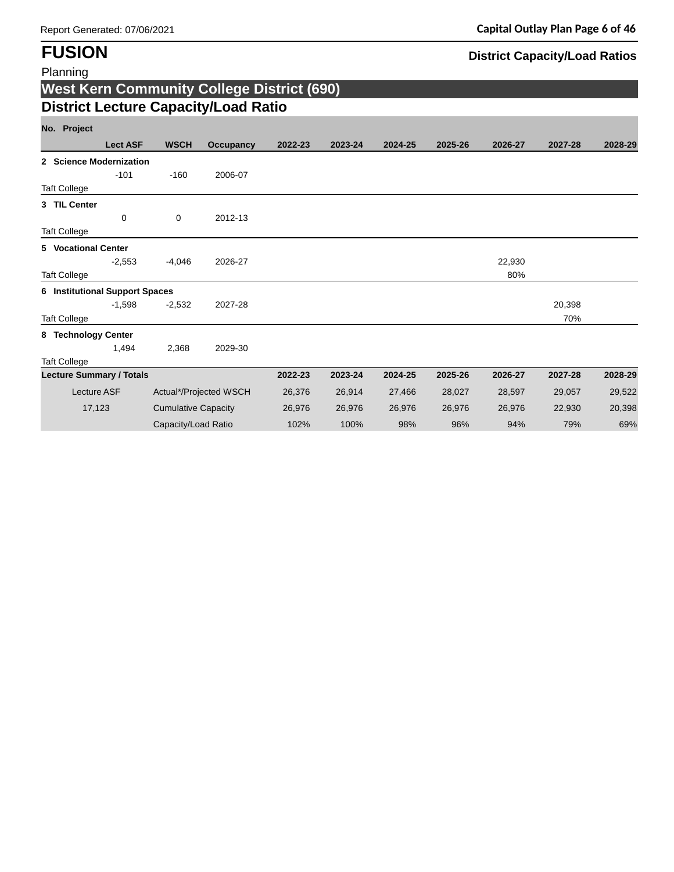# **FUSION District Capacity/Load Ratios**

| Planning                                               |                    |                            |                                                   |         |         |         |         |               |               |         |
|--------------------------------------------------------|--------------------|----------------------------|---------------------------------------------------|---------|---------|---------|---------|---------------|---------------|---------|
|                                                        |                    |                            | <b>West Kern Community College District (690)</b> |         |         |         |         |               |               |         |
|                                                        |                    |                            | <b>District Lecture Capacity/Load Ratio</b>       |         |         |         |         |               |               |         |
| No. Project                                            |                    |                            |                                                   |         |         |         |         |               |               |         |
|                                                        | <b>Lect ASF</b>    | <b>WSCH</b>                | Occupancy                                         | 2022-23 | 2023-24 | 2024-25 | 2025-26 | 2026-27       | 2027-28       | 2028-29 |
| 2 Science Modernization                                | $-101$             | $-160$                     | 2006-07                                           |         |         |         |         |               |               |         |
| <b>Taft College</b>                                    |                    |                            |                                                   |         |         |         |         |               |               |         |
| 3 TIL Center<br><b>Taft College</b>                    | 0                  | 0                          | 2012-13                                           |         |         |         |         |               |               |         |
| <b>5</b> Vocational Center                             |                    |                            |                                                   |         |         |         |         |               |               |         |
| <b>Taft College</b>                                    | $-2.553$           | $-4.046$                   | 2026-27                                           |         |         |         |         | 22,930<br>80% |               |         |
| <b>6</b> Institutional Support Spaces                  |                    |                            |                                                   |         |         |         |         |               |               |         |
| <b>Taft College</b>                                    | $-1,598$           | $-2,532$                   | 2027-28                                           |         |         |         |         |               | 20,398<br>70% |         |
| 8 Technology Center                                    | 1,494              | 2,368                      | 2029-30                                           |         |         |         |         |               |               |         |
| <b>Taft College</b><br><b>Lecture Summary / Totals</b> |                    |                            |                                                   | 2022-23 | 2023-24 | 2024-25 | 2025-26 | 2026-27       | 2027-28       | 2028-29 |
|                                                        | <b>Lecture ASF</b> |                            | Actual*/Projected WSCH                            | 26,376  | 26,914  | 27,466  | 28,027  | 28,597        | 29,057        | 29,522  |
|                                                        | 17,123             | <b>Cumulative Capacity</b> |                                                   | 26,976  | 26,976  | 26,976  | 26,976  | 26,976        | 22,930        | 20,398  |
|                                                        |                    | Capacity/Load Ratio        |                                                   | 102%    | 100%    | 98%     | 96%     | 94%           | 79%           | 69%     |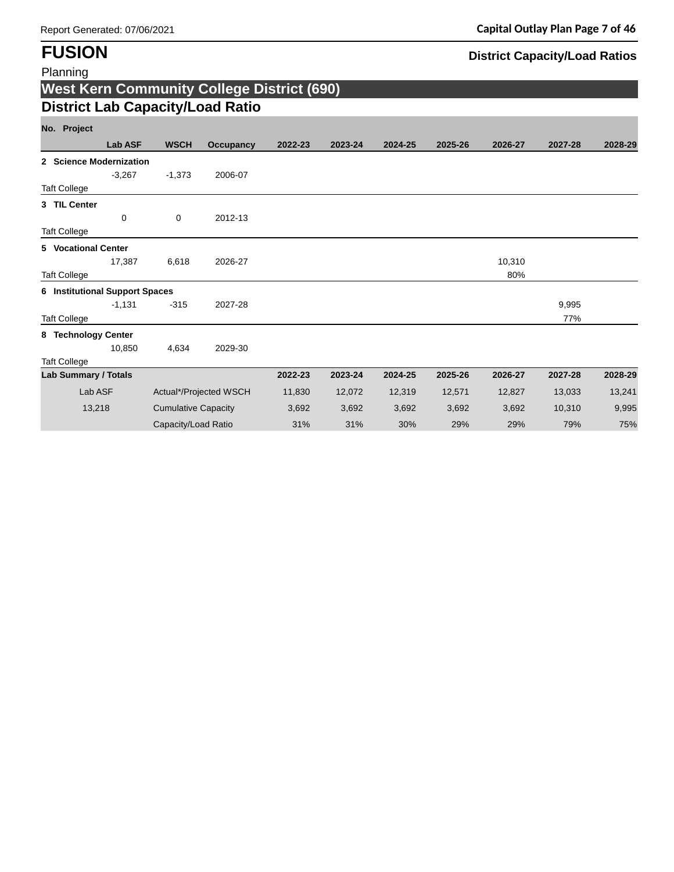# **FUSION District Capacity/Load Ratios**

| <b>West Kern Community College District (690)</b> |                |                            |                        |         |         |         |         |         |         |         |  |
|---------------------------------------------------|----------------|----------------------------|------------------------|---------|---------|---------|---------|---------|---------|---------|--|
| <b>District Lab Capacity/Load Ratio</b>           |                |                            |                        |         |         |         |         |         |         |         |  |
| No. Project                                       |                |                            |                        |         |         |         |         |         |         |         |  |
|                                                   | <b>Lab ASF</b> | <b>WSCH</b>                | <b>Occupancy</b>       | 2022-23 | 2023-24 | 2024-25 | 2025-26 | 2026-27 | 2027-28 | 2028-29 |  |
| 2 Science Modernization                           |                |                            |                        |         |         |         |         |         |         |         |  |
|                                                   | $-3,267$       | $-1,373$                   | 2006-07                |         |         |         |         |         |         |         |  |
| <b>Taft College</b>                               |                |                            |                        |         |         |         |         |         |         |         |  |
| 3 TIL Center                                      |                |                            |                        |         |         |         |         |         |         |         |  |
|                                                   | 0              | 0                          | 2012-13                |         |         |         |         |         |         |         |  |
| <b>Taft College</b>                               |                |                            |                        |         |         |         |         |         |         |         |  |
| <b>5</b> Vocational Center                        |                |                            |                        |         |         |         |         |         |         |         |  |
|                                                   | 17,387         | 6,618                      | 2026-27                |         |         |         |         | 10,310  |         |         |  |
| <b>Taft College</b>                               |                |                            |                        |         |         |         |         | 80%     |         |         |  |
| <b>6</b> Institutional Support Spaces             |                |                            |                        |         |         |         |         |         |         |         |  |
|                                                   | $-1,131$       | $-315$                     | 2027-28                |         |         |         |         |         | 9,995   |         |  |
| <b>Taft College</b>                               |                |                            |                        |         |         |         |         |         | 77%     |         |  |
| 8 Technology Center                               |                |                            |                        |         |         |         |         |         |         |         |  |
|                                                   | 10.850         | 4.634                      | 2029-30                |         |         |         |         |         |         |         |  |
| <b>Taft College</b>                               |                |                            |                        |         |         |         |         |         |         |         |  |
| <b>Lab Summary / Totals</b>                       |                |                            |                        | 2022-23 | 2023-24 | 2024-25 | 2025-26 | 2026-27 | 2027-28 | 2028-29 |  |
| Lab ASF                                           |                |                            | Actual*/Projected WSCH | 11,830  | 12,072  | 12,319  | 12,571  | 12,827  | 13,033  | 13,241  |  |
| 13,218                                            |                | <b>Cumulative Capacity</b> |                        | 3,692   | 3,692   | 3,692   | 3,692   | 3,692   | 10,310  | 9,995   |  |
|                                                   |                | Capacity/Load Ratio        |                        | 31%     | 31%     | 30%     | 29%     | 29%     | 79%     | 75%     |  |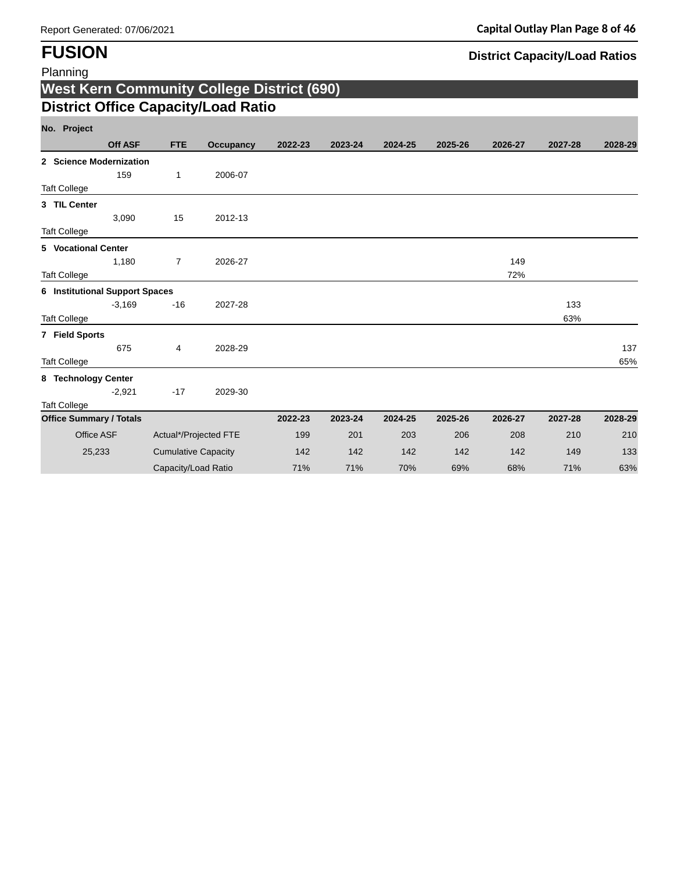# **FUSION District Capacity/Load Ratios**

| Planning                              |                |                            |                                                   |         |         |         |         |         |         |         |
|---------------------------------------|----------------|----------------------------|---------------------------------------------------|---------|---------|---------|---------|---------|---------|---------|
|                                       |                |                            | <b>West Kern Community College District (690)</b> |         |         |         |         |         |         |         |
|                                       |                |                            | <b>District Office Capacity/Load Ratio</b>        |         |         |         |         |         |         |         |
| No. Project                           |                |                            |                                                   |         |         |         |         |         |         |         |
|                                       | <b>Off ASF</b> | <b>FTE</b>                 | <b>Occupancy</b>                                  | 2022-23 | 2023-24 | 2024-25 | 2025-26 | 2026-27 | 2027-28 | 2028-29 |
| 2 Science Modernization               |                |                            |                                                   |         |         |         |         |         |         |         |
|                                       | 159            | $\mathbf{1}$               | 2006-07                                           |         |         |         |         |         |         |         |
| <b>Taft College</b>                   |                |                            |                                                   |         |         |         |         |         |         |         |
| 3 TIL Center                          |                |                            |                                                   |         |         |         |         |         |         |         |
|                                       | 3,090          | 15                         | 2012-13                                           |         |         |         |         |         |         |         |
| <b>Taft College</b>                   |                |                            |                                                   |         |         |         |         |         |         |         |
| 5 Vocational Center                   |                |                            |                                                   |         |         |         |         |         |         |         |
|                                       | 1,180          | $\overline{7}$             | 2026-27                                           |         |         |         |         | 149     |         |         |
| <b>Taft College</b>                   |                |                            |                                                   |         |         |         |         | 72%     |         |         |
| <b>6 Institutional Support Spaces</b> |                |                            |                                                   |         |         |         |         |         |         |         |
|                                       | $-3,169$       | $-16$                      | 2027-28                                           |         |         |         |         |         | 133     |         |
| <b>Taft College</b>                   |                |                            |                                                   |         |         |         |         |         | 63%     |         |
| 7 Field Sports                        |                |                            |                                                   |         |         |         |         |         |         |         |
|                                       | 675            | 4                          | 2028-29                                           |         |         |         |         |         |         | 137     |
| <b>Taft College</b>                   |                |                            |                                                   |         |         |         |         |         |         | 65%     |
| 8 Technology Center                   |                |                            |                                                   |         |         |         |         |         |         |         |
|                                       | $-2,921$       | $-17$                      | 2029-30                                           |         |         |         |         |         |         |         |
| <b>Taft College</b>                   |                |                            |                                                   |         |         |         |         |         |         |         |
| <b>Office Summary / Totals</b>        |                |                            |                                                   | 2022-23 | 2023-24 | 2024-25 | 2025-26 | 2026-27 | 2027-28 | 2028-29 |
| Office ASF                            |                |                            | Actual*/Projected FTE                             | 199     | 201     | 203     | 206     | 208     | 210     | 210     |
| 25,233                                |                | <b>Cumulative Capacity</b> |                                                   | 142     | 142     | 142     | 142     | 142     | 149     | 133     |
|                                       |                | Capacity/Load Ratio        |                                                   | 71%     | 71%     | 70%     | 69%     | 68%     | 71%     | 63%     |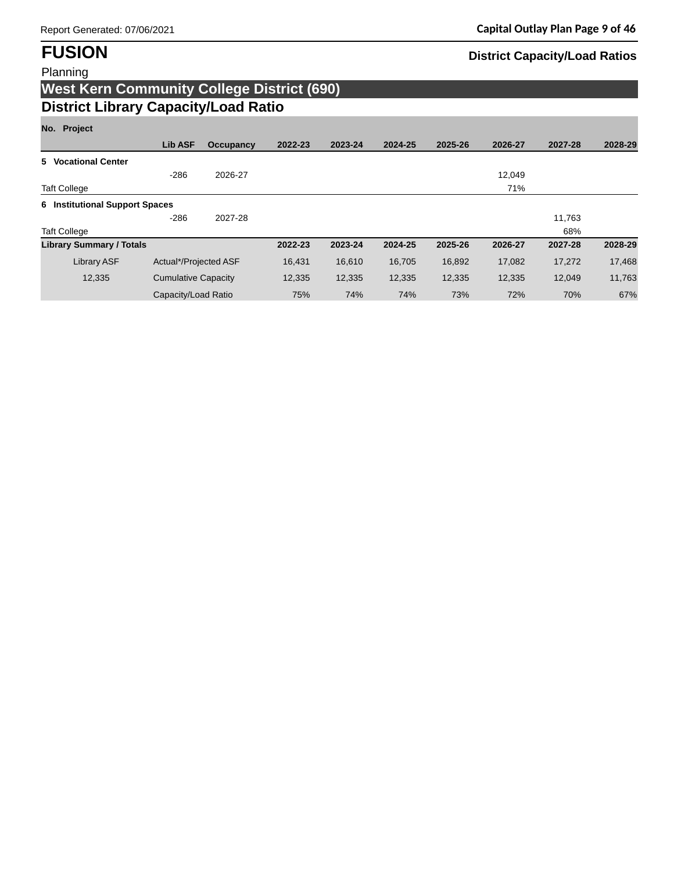# **FUSION District Capacity/Load Ratios**

## Planning **West Kern Community College District (690) District Library Capacity/Load Ratio**

## **No. Project**

| 1101 11000                      |                            |           |         |         |         |         |         |         |         |
|---------------------------------|----------------------------|-----------|---------|---------|---------|---------|---------|---------|---------|
|                                 | <b>Lib ASF</b>             | Occupancy | 2022-23 | 2023-24 | 2024-25 | 2025-26 | 2026-27 | 2027-28 | 2028-29 |
| 5 Vocational Center             |                            |           |         |         |         |         |         |         |         |
|                                 | $-286$                     | 2026-27   |         |         |         |         | 12,049  |         |         |
| <b>Taft College</b>             |                            |           |         |         |         |         | 71%     |         |         |
| 6 Institutional Support Spaces  |                            |           |         |         |         |         |         |         |         |
|                                 | $-286$                     | 2027-28   |         |         |         |         |         | 11,763  |         |
| <b>Taft College</b>             |                            |           |         |         |         |         |         | 68%     |         |
| <b>Library Summary / Totals</b> |                            |           | 2022-23 | 2023-24 | 2024-25 | 2025-26 | 2026-27 | 2027-28 | 2028-29 |
| <b>Library ASF</b>              | Actual*/Projected ASF      |           | 16,431  | 16,610  | 16,705  | 16,892  | 17,082  | 17,272  | 17,468  |
| 12,335                          | <b>Cumulative Capacity</b> |           | 12,335  | 12,335  | 12,335  | 12,335  | 12,335  | 12.049  | 11,763  |
|                                 | Capacity/Load Ratio        |           | 75%     | 74%     | 74%     | 73%     | 72%     | 70%     | 67%     |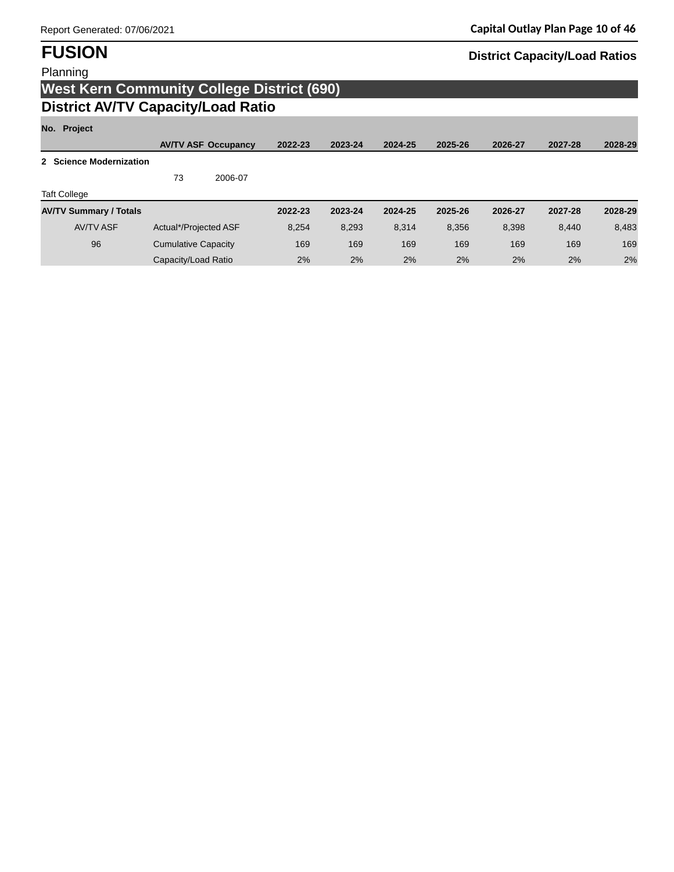**FUSION District Capacity/Load Ratios** 

# **West Kern Community College District (690) District AV/TV Capacity/Load Ratio**

## **No. Project**

|                               |                            | <b>AV/TV ASF Occupancy</b> | 2022-23 | 2023-24 | 2024-25 | 2025-26 | 2026-27 | 2027-28 | 2028-29 |
|-------------------------------|----------------------------|----------------------------|---------|---------|---------|---------|---------|---------|---------|
| 2 Science Modernization       |                            |                            |         |         |         |         |         |         |         |
|                               | 73                         | 2006-07                    |         |         |         |         |         |         |         |
| <b>Taft College</b>           |                            |                            |         |         |         |         |         |         |         |
| <b>AV/TV Summary / Totals</b> |                            |                            | 2022-23 | 2023-24 | 2024-25 | 2025-26 | 2026-27 | 2027-28 | 2028-29 |
| <b>AV/TV ASF</b>              | Actual*/Projected ASF      |                            | 8.254   | 8,293   | 8.314   | 8.356   | 8,398   | 8.440   | 8,483   |
| 96                            | <b>Cumulative Capacity</b> |                            | 169     | 169     | 169     | 169     | 169     | 169     | 169     |
|                               | Capacity/Load Ratio        |                            | 2%      | 2%      | 2%      | 2%      | 2%      | 2%      | 2%      |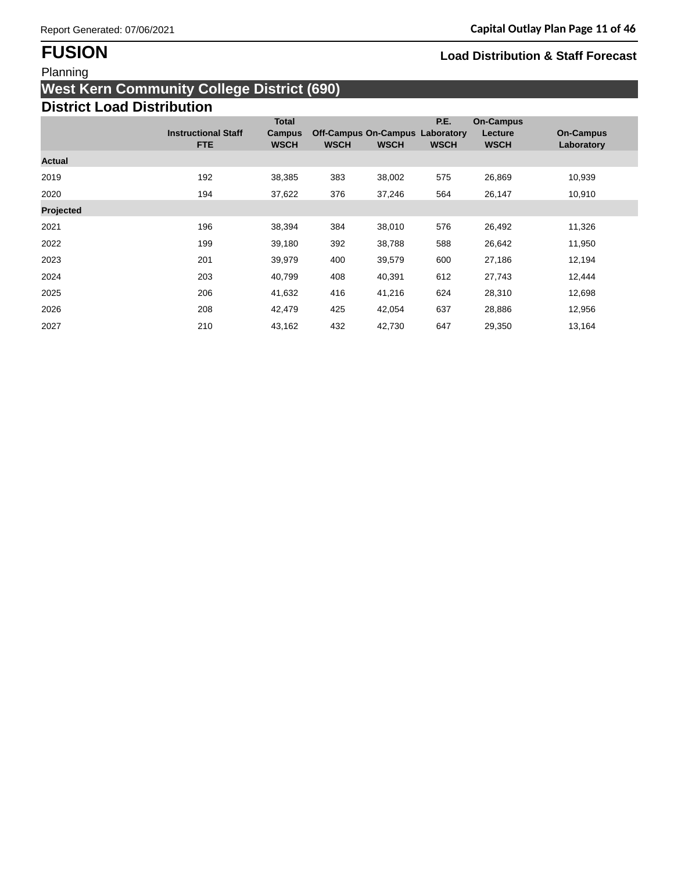## Planning

# **West Kern Community College District (690)**

# **District Load Distribution**

|           |                            | <b>Total</b>  |                                        |             | P.E.        | <b>On-Campus</b> |                  |
|-----------|----------------------------|---------------|----------------------------------------|-------------|-------------|------------------|------------------|
|           | <b>Instructional Staff</b> | <b>Campus</b> | <b>Off-Campus On-Campus Laboratory</b> |             |             | Lecture          | <b>On-Campus</b> |
|           | <b>FTE</b>                 | <b>WSCH</b>   | <b>WSCH</b>                            | <b>WSCH</b> | <b>WSCH</b> | <b>WSCH</b>      | Laboratory       |
| Actual    |                            |               |                                        |             |             |                  |                  |
| 2019      | 192                        | 38,385        | 383                                    | 38,002      | 575         | 26,869           | 10,939           |
| 2020      | 194                        | 37,622        | 376                                    | 37,246      | 564         | 26,147           | 10,910           |
| Projected |                            |               |                                        |             |             |                  |                  |
| 2021      | 196                        | 38,394        | 384                                    | 38,010      | 576         | 26,492           | 11,326           |
| 2022      | 199                        | 39,180        | 392                                    | 38,788      | 588         | 26,642           | 11,950           |
| 2023      | 201                        | 39,979        | 400                                    | 39,579      | 600         | 27,186           | 12,194           |
| 2024      | 203                        | 40,799        | 408                                    | 40,391      | 612         | 27,743           | 12,444           |
| 2025      | 206                        | 41,632        | 416                                    | 41,216      | 624         | 28,310           | 12,698           |
| 2026      | 208                        | 42,479        | 425                                    | 42,054      | 637         | 28,886           | 12,956           |
| 2027      | 210                        | 43,162        | 432                                    | 42,730      | 647         | 29,350           | 13,164           |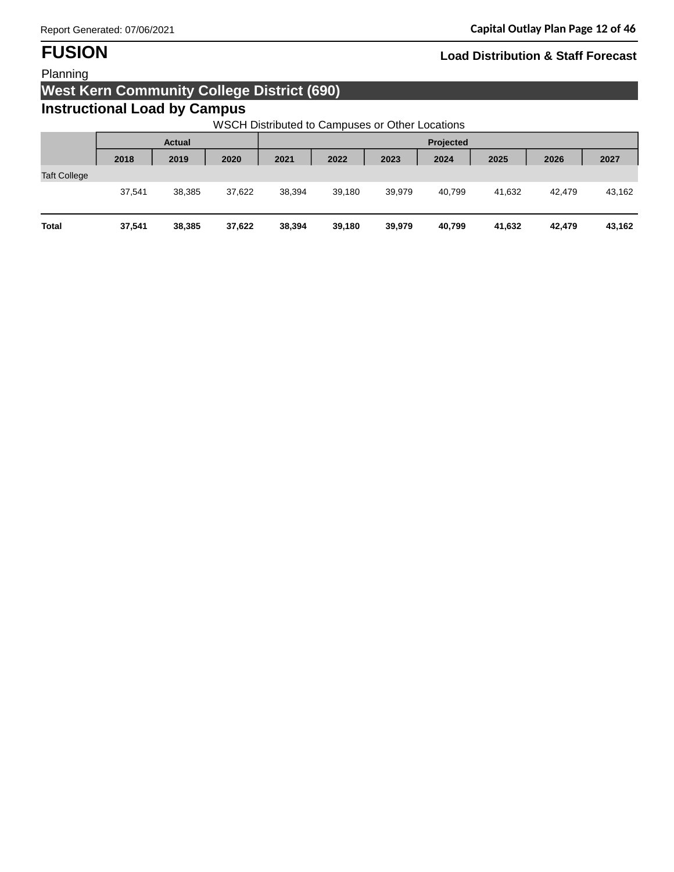## Planning

## **West Kern Community College District (690)**

## **Instructional Load by Campus**

WSCH Distributed to Campuses or Other Locations

|                     |        | <b>Actual</b> |        | Projected |        |        |        |        |        |        |
|---------------------|--------|---------------|--------|-----------|--------|--------|--------|--------|--------|--------|
|                     | 2018   | 2019          | 2020   | 2021      | 2022   | 2023   | 2024   | 2025   | 2026   | 2027   |
| <b>Taft College</b> |        |               |        |           |        |        |        |        |        |        |
|                     | 37,541 | 38,385        | 37,622 | 38,394    | 39,180 | 39,979 | 40,799 | 41,632 | 42,479 | 43,162 |
| <b>Total</b>        | 37,541 | 38,385        | 37,622 | 38,394    | 39,180 | 39,979 | 40,799 | 41,632 | 42,479 | 43,162 |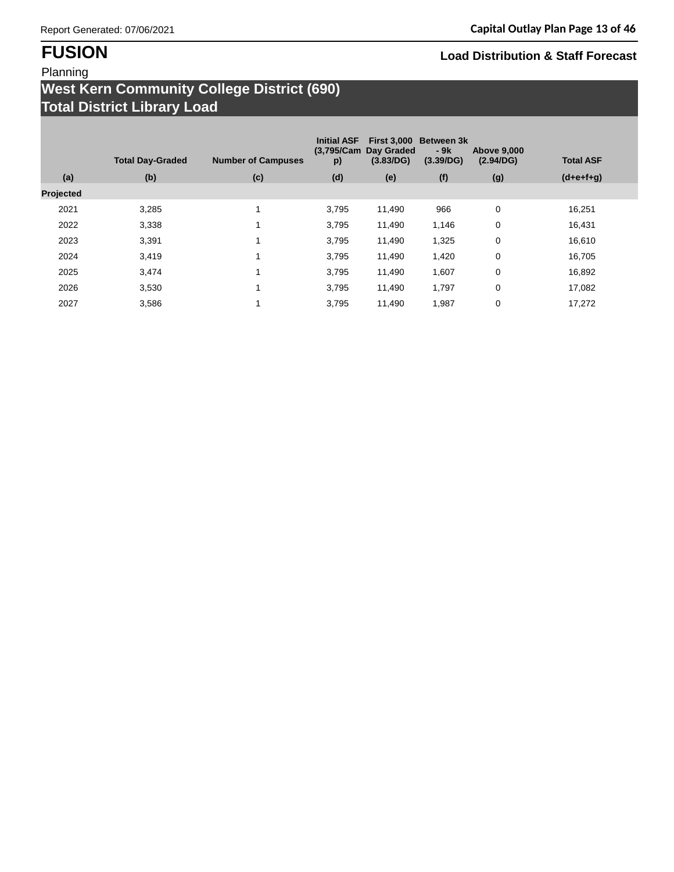## Planning

## **West Kern Community College District (690) Total District Library Load**

| (a)<br><b>Projected</b> | <b>Total Day-Graded</b><br>(b) | <b>Number of Campuses</b><br>(c) | <b>Initial ASF</b><br>(3,795/Cam)<br>p)<br>(d) | <b>First 3,000</b><br>Day Graded<br>(3.83/DG)<br>(e) | <b>Between 3k</b><br>- 9k<br>(3.39/DG)<br>(f) | <b>Above 9,000</b><br>(2.94/DG)<br>(g) | <b>Total ASF</b><br>$(d+e+f+g)$ |
|-------------------------|--------------------------------|----------------------------------|------------------------------------------------|------------------------------------------------------|-----------------------------------------------|----------------------------------------|---------------------------------|
| 2021                    | 3,285                          | $\overline{ }$                   | 3,795                                          | 11,490                                               | 966                                           | 0                                      | 16,251                          |
| 2022                    | 3,338                          | $\overline{ }$                   | 3,795                                          | 11,490                                               | 1,146                                         | 0                                      | 16,431                          |
|                         |                                |                                  |                                                |                                                      |                                               |                                        |                                 |
| 2023                    | 3,391                          |                                  | 3,795                                          | 11,490                                               | 1,325                                         | 0                                      | 16,610                          |
| 2024                    | 3,419                          | $\mathbf{I}$                     | 3,795                                          | 11,490                                               | 1,420                                         | 0                                      | 16,705                          |
| 2025                    | 3,474                          | $\mathbf{I}$                     | 3,795                                          | 11,490                                               | 1,607                                         | 0                                      | 16,892                          |
| 2026                    | 3,530                          |                                  | 3,795                                          | 11,490                                               | 1,797                                         | 0                                      | 17,082                          |
| 2027                    | 3,586                          |                                  | 3.795                                          | 11,490                                               | 1,987                                         | 0                                      | 17,272                          |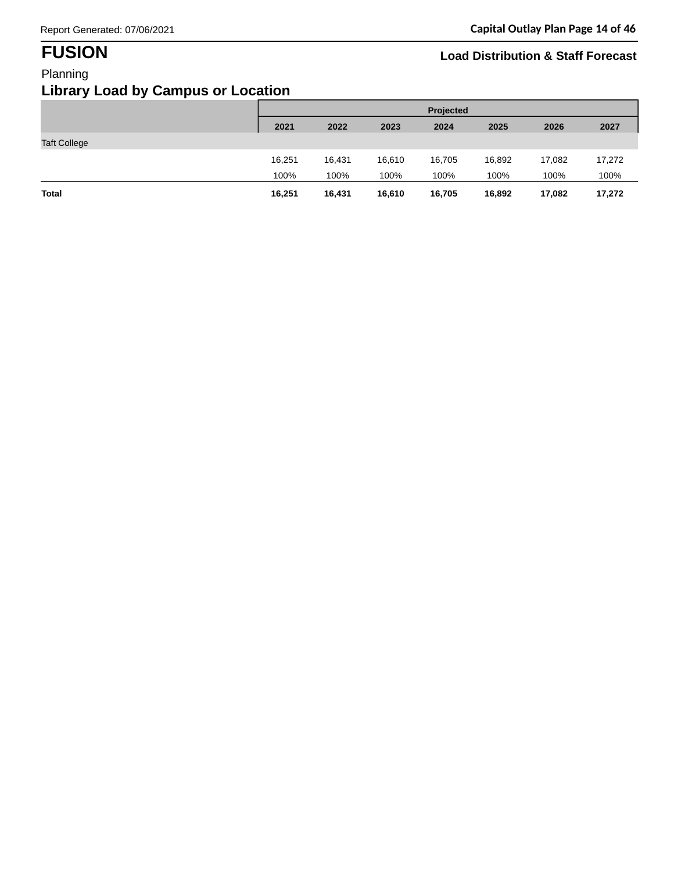# **Library Load by Campus or Location**

| ---- - -- -<br>-----<br><u>то у с</u> |        |           |        |        |        |        |        |  |  |  |
|---------------------------------------|--------|-----------|--------|--------|--------|--------|--------|--|--|--|
|                                       |        | Projected |        |        |        |        |        |  |  |  |
|                                       | 2021   | 2022      | 2023   | 2024   | 2025   | 2026   | 2027   |  |  |  |
| <b>Taft College</b>                   |        |           |        |        |        |        |        |  |  |  |
|                                       | 16,251 | 16,431    | 16,610 | 16,705 | 16,892 | 17,082 | 17,272 |  |  |  |
|                                       | 100%   | 100%      | 100%   | 100%   | 100%   | 100%   | 100%   |  |  |  |
| Total                                 | 16,251 | 16,431    | 16,610 | 16,705 | 16,892 | 17,082 | 17,272 |  |  |  |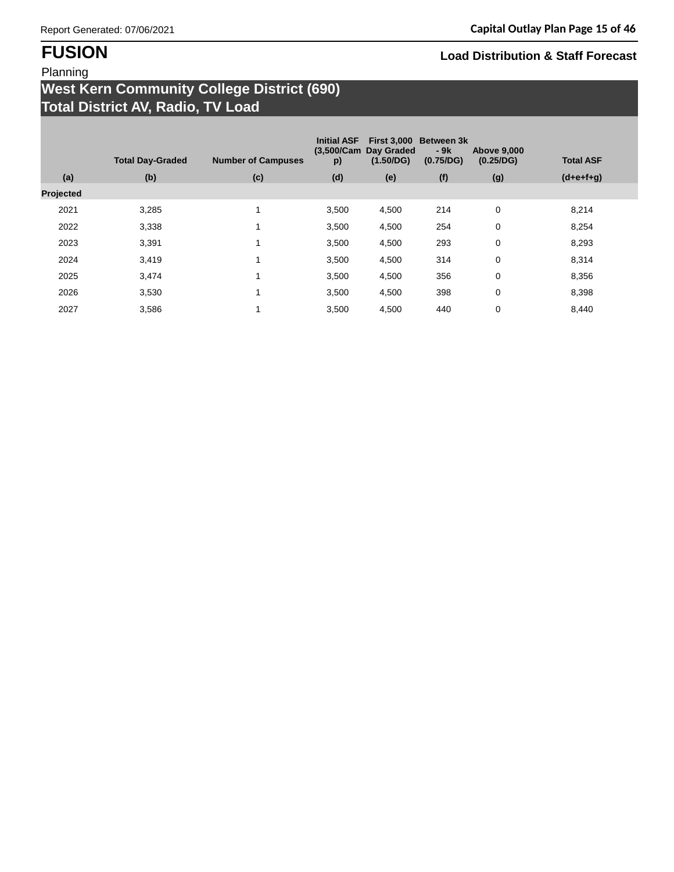## Planning

## **West Kern Community College District (690) Total District AV, Radio, TV Load**

| (a)<br>Projected | <b>Total Day-Graded</b><br>(b) | <b>Number of Campuses</b><br>(c) | <b>Initial ASF</b><br>p)<br>(d) | (3,500/Cam Day Graded<br>(1.50/DG)<br>(e) | First 3,000 Between 3k<br>$-9k$<br>(0.75/DG)<br>(f) | <b>Above 9,000</b><br>(0.25/DG)<br>(g) | <b>Total ASF</b><br>$(d+e+f+g)$ |
|------------------|--------------------------------|----------------------------------|---------------------------------|-------------------------------------------|-----------------------------------------------------|----------------------------------------|---------------------------------|
|                  |                                |                                  |                                 |                                           |                                                     |                                        |                                 |
| 2021             | 3,285                          | $\mathbf{1}$                     | 3,500                           | 4,500                                     | 214                                                 | 0                                      | 8,214                           |
| 2022             | 3,338                          | 1                                | 3,500                           | 4,500                                     | 254                                                 | 0                                      | 8,254                           |
| 2023             | 3,391                          | $\mathbf{1}$                     | 3,500                           | 4,500                                     | 293                                                 | 0                                      | 8,293                           |
| 2024             | 3,419                          | 1                                | 3,500                           | 4,500                                     | 314                                                 | 0                                      | 8,314                           |
| 2025             | 3,474                          | $\mathbf{1}$                     | 3,500                           | 4,500                                     | 356                                                 | 0                                      | 8,356                           |
| 2026             | 3,530                          | 1                                | 3,500                           | 4,500                                     | 398                                                 | 0                                      | 8,398                           |
| 2027             | 3,586                          | $\mathbf{1}$                     | 3,500                           | 4,500                                     | 440                                                 | 0                                      | 8,440                           |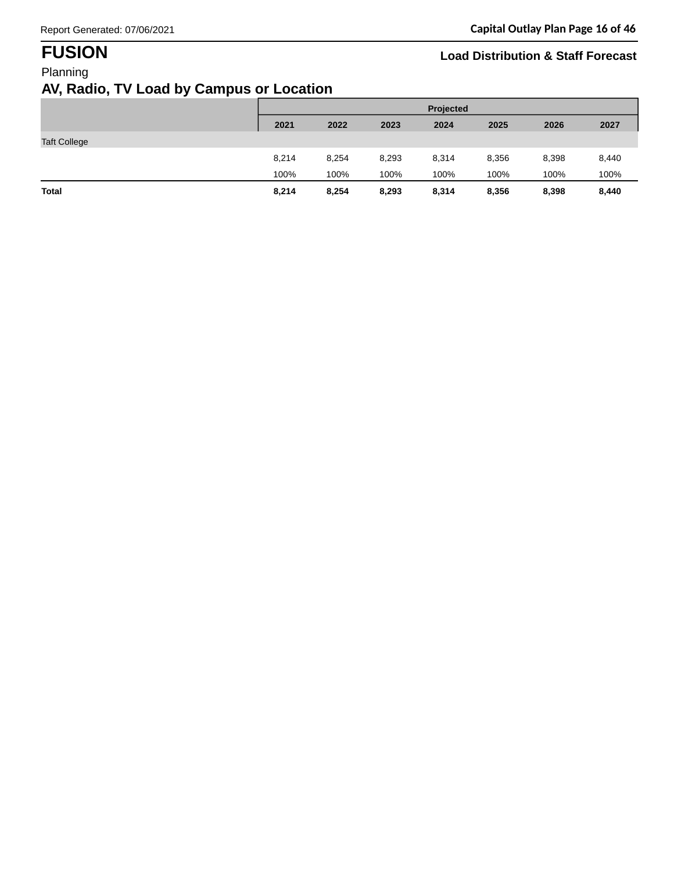## **AV, Radio, TV Load by Campus or Location**

|                     |       | <b>Projected</b> |       |       |       |       |       |  |  |
|---------------------|-------|------------------|-------|-------|-------|-------|-------|--|--|
|                     | 2021  | 2022             | 2023  | 2024  | 2025  | 2026  | 2027  |  |  |
| <b>Taft College</b> |       |                  |       |       |       |       |       |  |  |
|                     | 8,214 | 8,254            | 8,293 | 8,314 | 8,356 | 8,398 | 8,440 |  |  |
|                     | 100%  | 100%             | 100%  | 100%  | 100%  | 100%  | 100%  |  |  |
| <b>Total</b>        | 8,214 | 8,254            | 8,293 | 8,314 | 8,356 | 8,398 | 8,440 |  |  |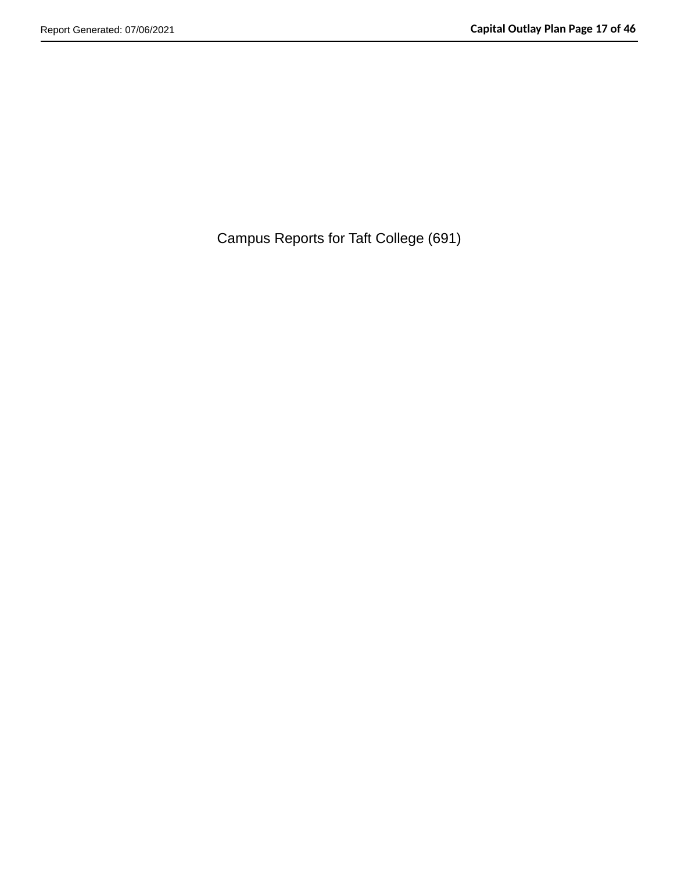Campus Reports for Taft College (691)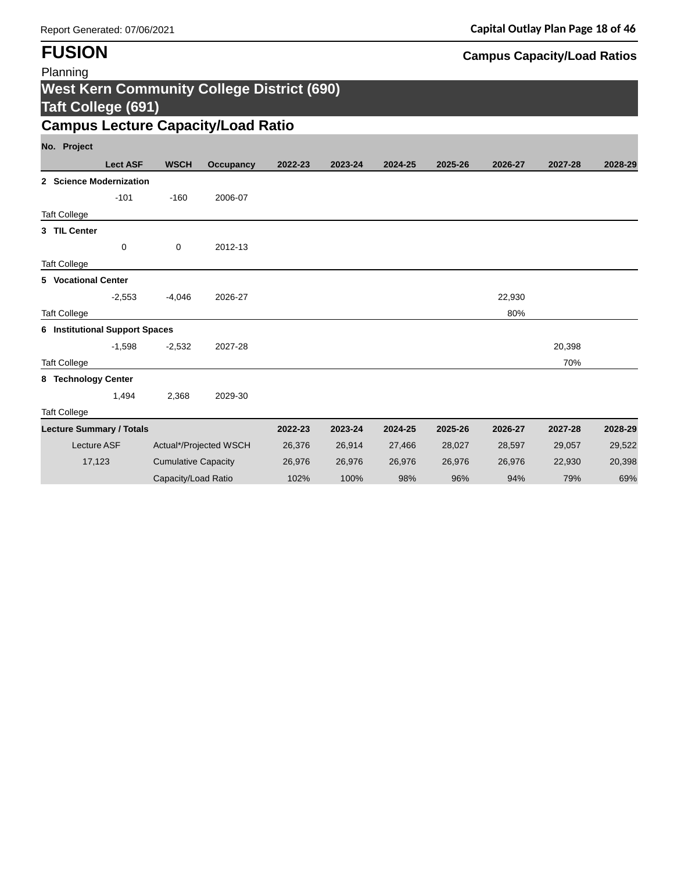| Planning                              |                    |                            |                                                   |         |         |         |         |         |         |         |
|---------------------------------------|--------------------|----------------------------|---------------------------------------------------|---------|---------|---------|---------|---------|---------|---------|
| <b>Taft College (691)</b>             |                    |                            | <b>West Kern Community College District (690)</b> |         |         |         |         |         |         |         |
|                                       |                    |                            | <b>Campus Lecture Capacity/Load Ratio</b>         |         |         |         |         |         |         |         |
| No. Project                           |                    |                            |                                                   |         |         |         |         |         |         |         |
|                                       | <b>Lect ASF</b>    | <b>WSCH</b>                | <b>Occupancy</b>                                  | 2022-23 | 2023-24 | 2024-25 | 2025-26 | 2026-27 | 2027-28 | 2028-29 |
| 2 Science Modernization               |                    |                            |                                                   |         |         |         |         |         |         |         |
|                                       | $-101$             | $-160$                     | 2006-07                                           |         |         |         |         |         |         |         |
| <b>Taft College</b>                   |                    |                            |                                                   |         |         |         |         |         |         |         |
| 3 TIL Center                          |                    |                            |                                                   |         |         |         |         |         |         |         |
|                                       | 0                  | 0                          | 2012-13                                           |         |         |         |         |         |         |         |
| <b>Taft College</b>                   |                    |                            |                                                   |         |         |         |         |         |         |         |
| 5 Vocational Center                   |                    |                            |                                                   |         |         |         |         |         |         |         |
|                                       | $-2,553$           | $-4,046$                   | 2026-27                                           |         |         |         |         | 22,930  |         |         |
| <b>Taft College</b>                   |                    |                            |                                                   |         |         |         |         | 80%     |         |         |
| <b>6</b> Institutional Support Spaces |                    |                            |                                                   |         |         |         |         |         |         |         |
|                                       | $-1,598$           | $-2,532$                   | 2027-28                                           |         |         |         |         |         | 20,398  |         |
| <b>Taft College</b>                   |                    |                            |                                                   |         |         |         |         |         | 70%     |         |
| 8 Technology Center                   |                    |                            |                                                   |         |         |         |         |         |         |         |
|                                       | 1,494              | 2,368                      | 2029-30                                           |         |         |         |         |         |         |         |
| <b>Taft College</b>                   |                    |                            |                                                   |         |         |         |         |         |         |         |
| <b>Lecture Summary / Totals</b>       |                    |                            |                                                   | 2022-23 | 2023-24 | 2024-25 | 2025-26 | 2026-27 | 2027-28 | 2028-29 |
|                                       | <b>Lecture ASF</b> |                            | Actual*/Projected WSCH                            | 26,376  | 26,914  | 27,466  | 28,027  | 28,597  | 29,057  | 29,522  |
|                                       | 17,123             | <b>Cumulative Capacity</b> |                                                   | 26,976  | 26,976  | 26,976  | 26,976  | 26,976  | 22,930  | 20,398  |
|                                       |                    | Capacity/Load Ratio        |                                                   | 102%    | 100%    | 98%     | 96%     | 94%     | 79%     | 69%     |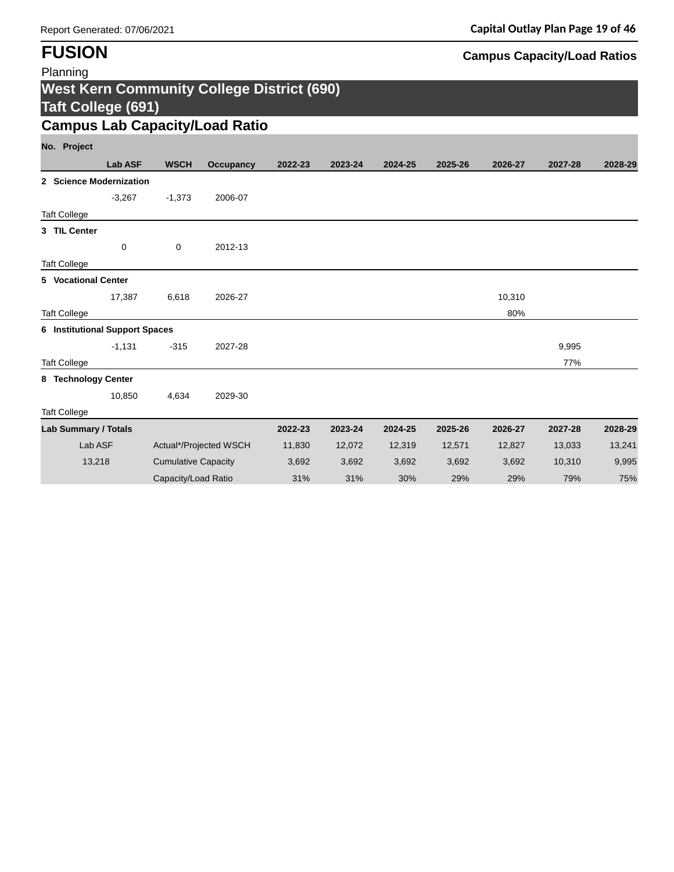| Planning                              |                |                            |                                                   |         |         |         |         |         |         |         |
|---------------------------------------|----------------|----------------------------|---------------------------------------------------|---------|---------|---------|---------|---------|---------|---------|
|                                       |                |                            | <b>West Kern Community College District (690)</b> |         |         |         |         |         |         |         |
| <b>Taft College (691)</b>             |                |                            |                                                   |         |         |         |         |         |         |         |
|                                       |                |                            | <b>Campus Lab Capacity/Load Ratio</b>             |         |         |         |         |         |         |         |
| No. Project                           |                |                            |                                                   |         |         |         |         |         |         |         |
|                                       | <b>Lab ASF</b> | <b>WSCH</b>                | <b>Occupancy</b>                                  | 2022-23 | 2023-24 | 2024-25 | 2025-26 | 2026-27 | 2027-28 | 2028-29 |
| 2 Science Modernization               |                |                            |                                                   |         |         |         |         |         |         |         |
|                                       | $-3,267$       | $-1,373$                   | 2006-07                                           |         |         |         |         |         |         |         |
| <b>Taft College</b>                   |                |                            |                                                   |         |         |         |         |         |         |         |
| 3 TIL Center                          |                |                            |                                                   |         |         |         |         |         |         |         |
|                                       | 0              | 0                          | 2012-13                                           |         |         |         |         |         |         |         |
| <b>Taft College</b>                   |                |                            |                                                   |         |         |         |         |         |         |         |
| 5 Vocational Center                   |                |                            |                                                   |         |         |         |         |         |         |         |
|                                       | 17,387         | 6,618                      | 2026-27                                           |         |         |         |         | 10,310  |         |         |
| <b>Taft College</b>                   |                |                            |                                                   |         |         |         |         | 80%     |         |         |
| <b>6</b> Institutional Support Spaces |                |                            |                                                   |         |         |         |         |         |         |         |
|                                       | $-1,131$       | $-315$                     | 2027-28                                           |         |         |         |         |         | 9,995   |         |
| <b>Taft College</b>                   |                |                            |                                                   |         |         |         |         |         | 77%     |         |
| 8 Technology Center                   |                |                            |                                                   |         |         |         |         |         |         |         |
|                                       | 10,850         | 4,634                      | 2029-30                                           |         |         |         |         |         |         |         |
| <b>Taft College</b>                   |                |                            |                                                   |         |         |         |         |         |         |         |
| <b>Lab Summary / Totals</b>           |                |                            |                                                   | 2022-23 | 2023-24 | 2024-25 | 2025-26 | 2026-27 | 2027-28 | 2028-29 |
| Lab ASF                               |                |                            | Actual*/Projected WSCH                            | 11,830  | 12,072  | 12,319  | 12,571  | 12,827  | 13,033  | 13,241  |
| 13,218                                |                | <b>Cumulative Capacity</b> |                                                   | 3,692   | 3,692   | 3,692   | 3,692   | 3,692   | 10,310  | 9,995   |
|                                       |                | Capacity/Load Ratio        |                                                   | 31%     | 31%     | 30%     | 29%     | 29%     | 79%     | 75%     |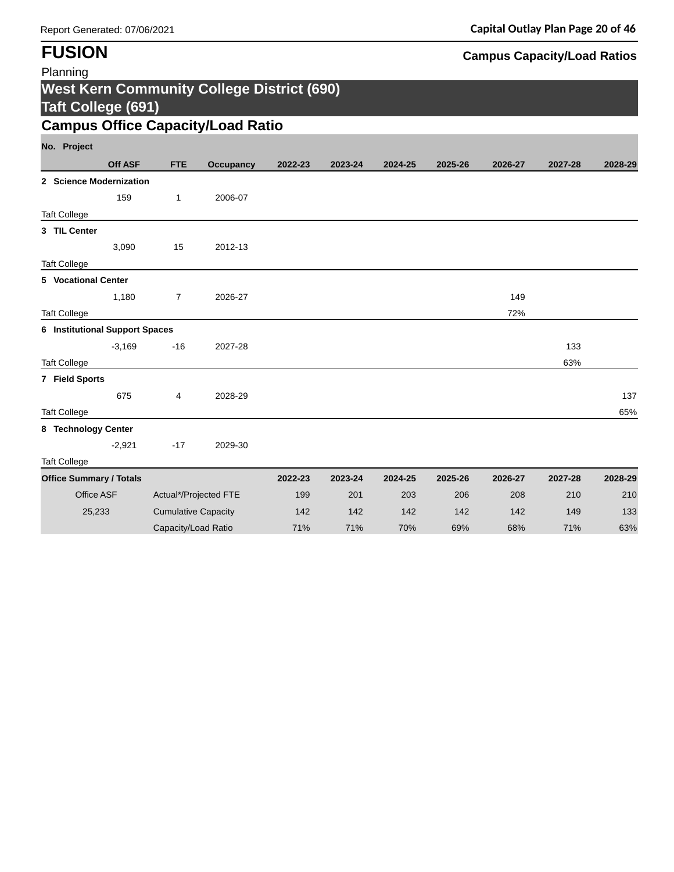| Planning                                   |                |                            |                                                   |         |         |         |         |         |         |         |
|--------------------------------------------|----------------|----------------------------|---------------------------------------------------|---------|---------|---------|---------|---------|---------|---------|
|                                            |                |                            | <b>West Kern Community College District (690)</b> |         |         |         |         |         |         |         |
| <b>Taft College (691)</b>                  |                |                            |                                                   |         |         |         |         |         |         |         |
|                                            |                |                            | <b>Campus Office Capacity/Load Ratio</b>          |         |         |         |         |         |         |         |
| No. Project                                |                |                            |                                                   |         |         |         |         |         |         |         |
|                                            | <b>Off ASF</b> | <b>FTE</b>                 | <b>Occupancy</b>                                  | 2022-23 | 2023-24 | 2024-25 | 2025-26 | 2026-27 | 2027-28 | 2028-29 |
| 2 Science Modernization                    |                |                            |                                                   |         |         |         |         |         |         |         |
|                                            | 159            | $\mathbf{1}$               | 2006-07                                           |         |         |         |         |         |         |         |
| <b>Taft College</b>                        |                |                            |                                                   |         |         |         |         |         |         |         |
| 3 TIL Center                               |                |                            |                                                   |         |         |         |         |         |         |         |
|                                            | 3,090          | 15                         | 2012-13                                           |         |         |         |         |         |         |         |
| <b>Taft College</b>                        |                |                            |                                                   |         |         |         |         |         |         |         |
| 5 Vocational Center                        |                |                            |                                                   |         |         |         |         |         |         |         |
|                                            | 1,180          | $\overline{7}$             | 2026-27                                           |         |         |         |         | 149     |         |         |
| <b>Taft College</b>                        |                |                            |                                                   |         |         |         |         | 72%     |         |         |
| <b>6</b> Institutional Support Spaces      |                |                            |                                                   |         |         |         |         |         |         |         |
|                                            | $-3,169$       | $-16$                      | 2027-28                                           |         |         |         |         |         | 133     |         |
| <b>Taft College</b>                        |                |                            |                                                   |         |         |         |         |         | 63%     |         |
| 7 Field Sports                             | 675            |                            |                                                   |         |         |         |         |         |         | 137     |
|                                            |                | 4                          | 2028-29                                           |         |         |         |         |         |         | 65%     |
| <b>Taft College</b><br>8 Technology Center |                |                            |                                                   |         |         |         |         |         |         |         |
|                                            | $-2,921$       | $-17$                      | 2029-30                                           |         |         |         |         |         |         |         |
| <b>Taft College</b>                        |                |                            |                                                   |         |         |         |         |         |         |         |
| <b>Office Summary / Totals</b>             |                |                            |                                                   | 2022-23 | 2023-24 | 2024-25 | 2025-26 | 2026-27 | 2027-28 | 2028-29 |
| Office ASF                                 |                | Actual*/Projected FTE      |                                                   | 199     | 201     | 203     | 206     | 208     | 210     | 210     |
| 25,233                                     |                | <b>Cumulative Capacity</b> |                                                   | 142     | 142     | 142     | 142     | 142     | 149     | 133     |
|                                            |                | Capacity/Load Ratio        |                                                   | 71%     | 71%     | 70%     | 69%     | 68%     | 71%     | 63%     |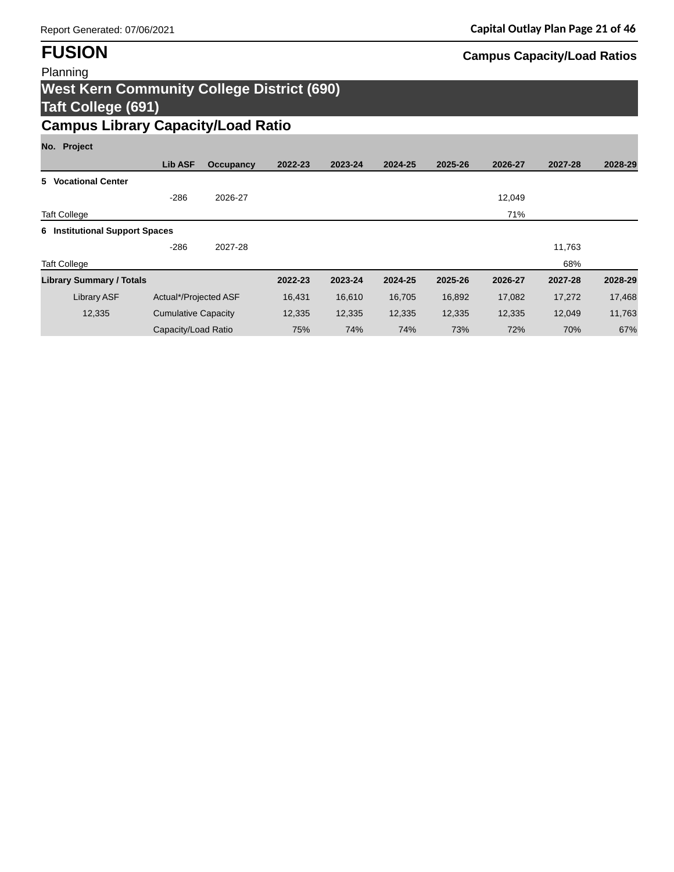## Report Generated: 07/06/2021 **Capital Outlay Plan Page 21 of 46**

# **FUSION Campus Capacity/Load Ratios**

## Planning **West Kern Community College District (690) Taft College (691) Campus Library Capacity/Load Ratio**

## **No. Project**

|                                       | Lib ASF                    | Occupancy | 2022-23 | 2023-24 | 2024-25 | 2025-26 | 2026-27 | 2027-28 | 2028-29 |
|---------------------------------------|----------------------------|-----------|---------|---------|---------|---------|---------|---------|---------|
| 5 Vocational Center                   |                            |           |         |         |         |         |         |         |         |
|                                       | $-286$                     | 2026-27   |         |         |         |         | 12,049  |         |         |
| <b>Taft College</b>                   |                            |           |         |         |         |         | 71%     |         |         |
| <b>6</b> Institutional Support Spaces |                            |           |         |         |         |         |         |         |         |
|                                       | $-286$                     | 2027-28   |         |         |         |         |         | 11,763  |         |
| <b>Taft College</b>                   |                            |           |         |         |         |         |         | 68%     |         |
| <b>Library Summary / Totals</b>       |                            |           | 2022-23 | 2023-24 | 2024-25 | 2025-26 | 2026-27 | 2027-28 | 2028-29 |
| <b>Library ASF</b>                    | Actual*/Projected ASF      |           | 16,431  | 16,610  | 16,705  | 16,892  | 17,082  | 17,272  | 17,468  |
| 12,335                                | <b>Cumulative Capacity</b> |           | 12,335  | 12,335  | 12,335  | 12,335  | 12,335  | 12,049  | 11,763  |
|                                       | Capacity/Load Ratio        |           | 75%     | 74%     | 74%     | 73%     | 72%     | 70%     | 67%     |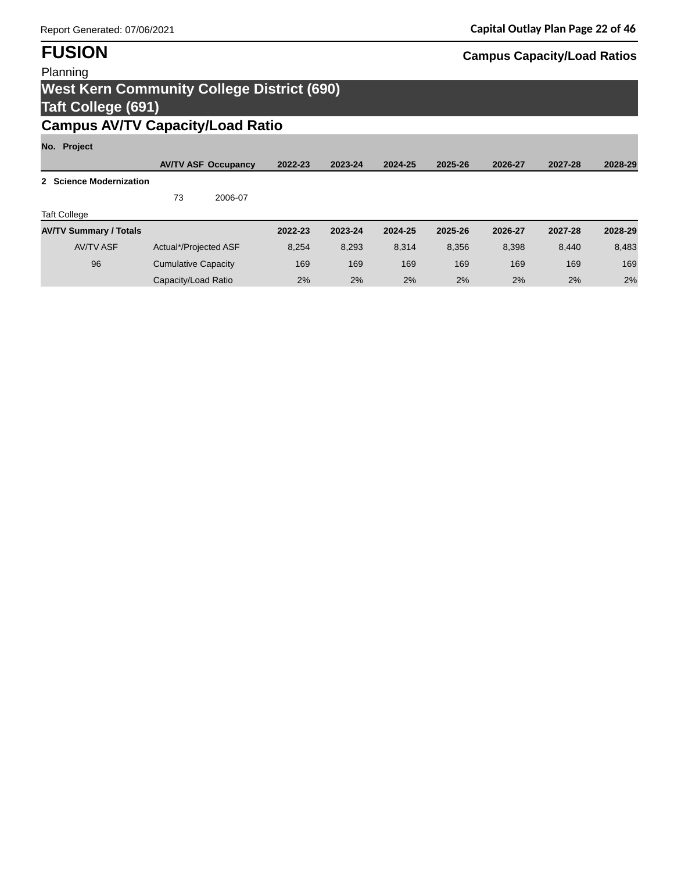## Planning

# **West Kern Community College District (690) Taft College (691)**

# **Campus AV/TV Capacity/Load Ratio**

## **No. Project**

| 1101 110100                   |                            |                            |         |         |         |         |         |         |         |
|-------------------------------|----------------------------|----------------------------|---------|---------|---------|---------|---------|---------|---------|
|                               |                            | <b>AVITV ASF Occupancy</b> | 2022-23 | 2023-24 | 2024-25 | 2025-26 | 2026-27 | 2027-28 | 2028-29 |
| 2 Science Modernization       |                            |                            |         |         |         |         |         |         |         |
|                               | 73                         | 2006-07                    |         |         |         |         |         |         |         |
| <b>Taft College</b>           |                            |                            |         |         |         |         |         |         |         |
| <b>AV/TV Summary / Totals</b> |                            |                            | 2022-23 | 2023-24 | 2024-25 | 2025-26 | 2026-27 | 2027-28 | 2028-29 |
| <b>AV/TV ASF</b>              | Actual*/Projected ASF      |                            | 8.254   | 8.293   | 8.314   | 8.356   | 8,398   | 8.440   | 8,483   |
| 96                            | <b>Cumulative Capacity</b> |                            | 169     | 169     | 169     | 169     | 169     | 169     | 169     |
|                               | Capacity/Load Ratio        |                            | 2%      | 2%      | 2%      | 2%      | 2%      | 2%      | 2%      |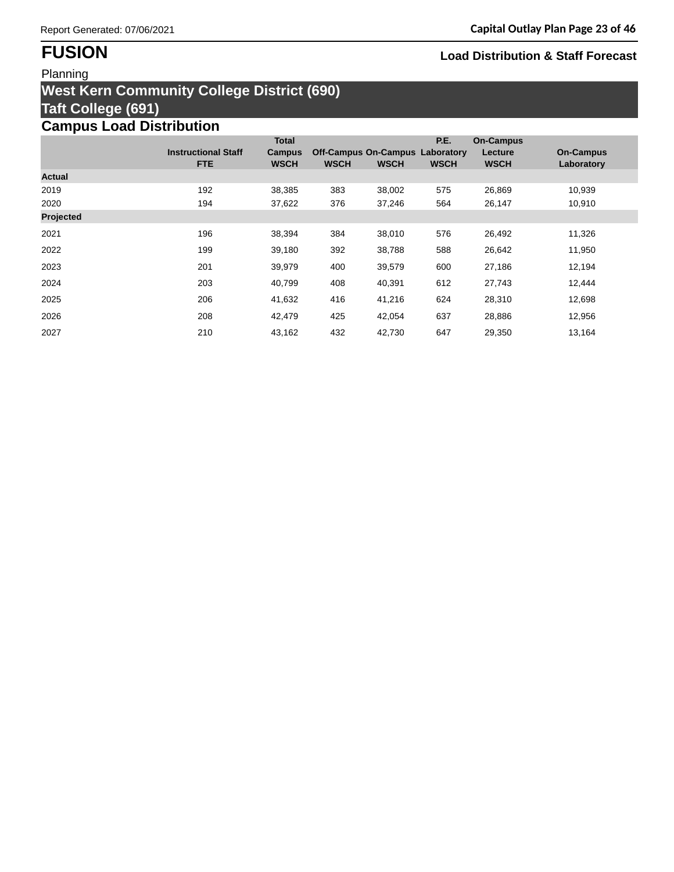## Planning

## **West Kern Community College District (690) Taft College (691) Campus Load Distribution**

|               |                            | <b>Total</b>  |                                        |             | P.E.        | <b>On-Campus</b> |                  |
|---------------|----------------------------|---------------|----------------------------------------|-------------|-------------|------------------|------------------|
|               | <b>Instructional Staff</b> | <b>Campus</b> | <b>Off-Campus On-Campus Laboratory</b> |             |             | Lecture          | <b>On-Campus</b> |
|               | <b>FTE</b>                 | <b>WSCH</b>   | <b>WSCH</b>                            | <b>WSCH</b> | <b>WSCH</b> | <b>WSCH</b>      | Laboratory       |
| <b>Actual</b> |                            |               |                                        |             |             |                  |                  |
| 2019          | 192                        | 38,385        | 383                                    | 38,002      | 575         | 26,869           | 10,939           |
| 2020          | 194                        | 37,622        | 376                                    | 37,246      | 564         | 26,147           | 10,910           |
| Projected     |                            |               |                                        |             |             |                  |                  |
| 2021          | 196                        | 38,394        | 384                                    | 38,010      | 576         | 26,492           | 11,326           |
| 2022          | 199                        | 39,180        | 392                                    | 38,788      | 588         | 26,642           | 11,950           |
| 2023          | 201                        | 39,979        | 400                                    | 39,579      | 600         | 27,186           | 12,194           |
| 2024          | 203                        | 40,799        | 408                                    | 40,391      | 612         | 27,743           | 12,444           |
| 2025          | 206                        | 41,632        | 416                                    | 41,216      | 624         | 28,310           | 12,698           |
| 2026          | 208                        | 42,479        | 425                                    | 42,054      | 637         | 28,886           | 12,956           |
| 2027          | 210                        | 43,162        | 432                                    | 42,730      | 647         | 29,350           | 13,164           |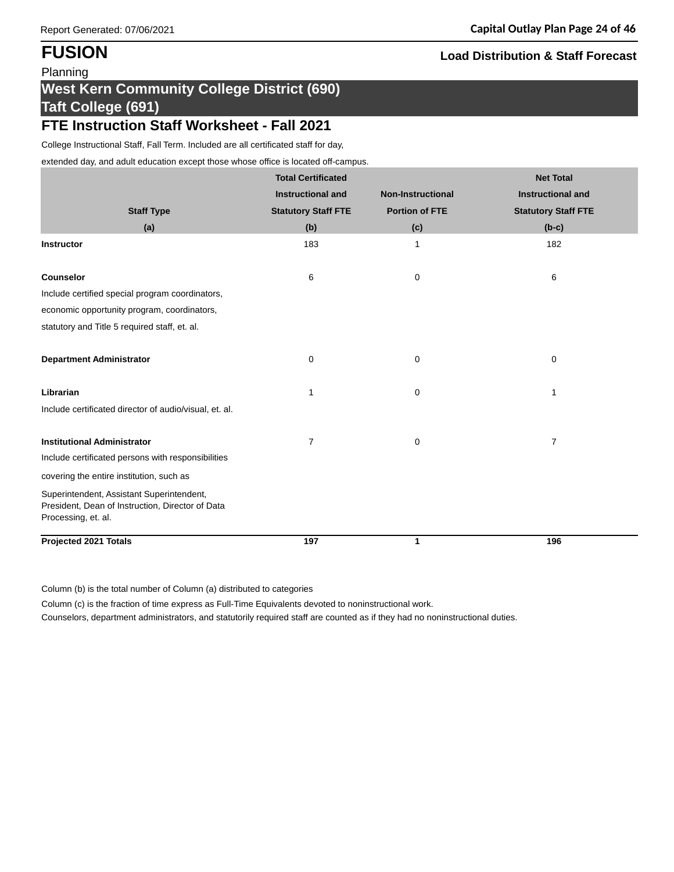# **West Kern Community College District (690) Taft College (691)**

## **FTE Instruction Staff Worksheet - Fall 2021**

College Instructional Staff, Fall Term. Included are all certificated staff for day,

extended day, and adult education except those whose office is located off-campus.

|                                                                                               | <b>Total Certificated</b>  |                          | <b>Net Total</b>           |
|-----------------------------------------------------------------------------------------------|----------------------------|--------------------------|----------------------------|
|                                                                                               | <b>Instructional and</b>   | <b>Non-Instructional</b> | <b>Instructional and</b>   |
| <b>Staff Type</b>                                                                             | <b>Statutory Staff FTE</b> | <b>Portion of FTE</b>    | <b>Statutory Staff FTE</b> |
| (a)                                                                                           | (b)                        | (c)                      | $(b-c)$                    |
| <b>Instructor</b>                                                                             | 183                        | $\mathbf 1$              | 182                        |
|                                                                                               |                            |                          |                            |
| Counselor                                                                                     | 6                          | 0                        | 6                          |
| Include certified special program coordinators,                                               |                            |                          |                            |
| economic opportunity program, coordinators,                                                   |                            |                          |                            |
| statutory and Title 5 required staff, et. al.                                                 |                            |                          |                            |
|                                                                                               |                            |                          |                            |
| <b>Department Administrator</b>                                                               | 0                          | 0                        | 0                          |
| Librarian                                                                                     | 1                          | 0                        | 1                          |
|                                                                                               |                            |                          |                            |
| Include certificated director of audio/visual, et. al.                                        |                            |                          |                            |
| <b>Institutional Administrator</b>                                                            | 7                          | 0                        | $\overline{7}$             |
| Include certificated persons with responsibilities                                            |                            |                          |                            |
| covering the entire institution, such as                                                      |                            |                          |                            |
| Superintendent, Assistant Superintendent,<br>President, Dean of Instruction, Director of Data |                            |                          |                            |
| Processing, et. al.                                                                           |                            |                          |                            |
| <b>Projected 2021 Totals</b>                                                                  | 197                        | $\mathbf{1}$             | 196                        |

Column (b) is the total number of Column (a) distributed to categories

Column (c) is the fraction of time express as Full-Time Equivalents devoted to noninstructional work.

Counselors, department administrators, and statutorily required staff are counted as if they had no noninstructional duties.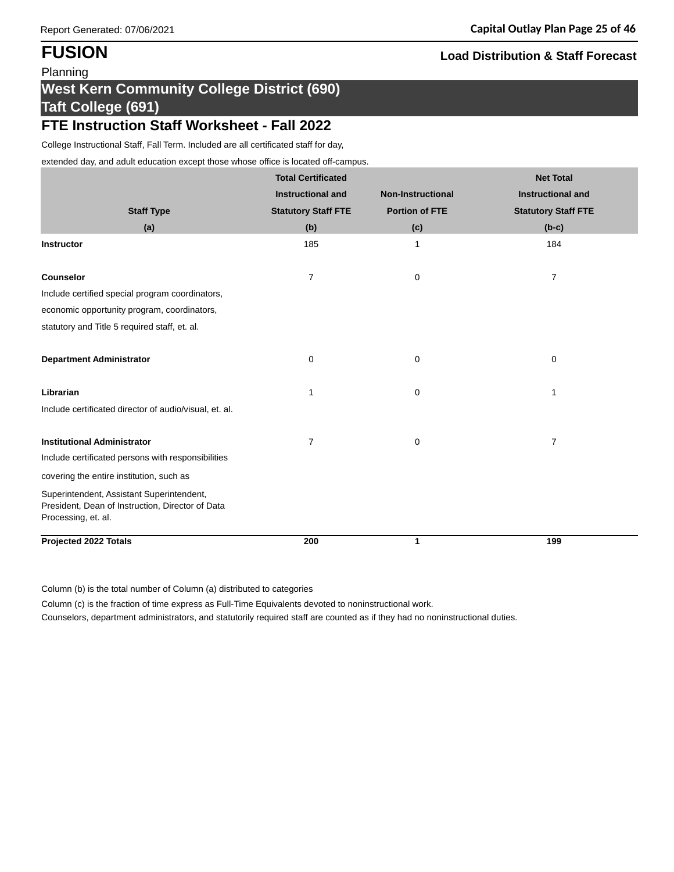## **West Kern Community College District (690) Taft College (691)**

## **FTE Instruction Staff Worksheet - Fall 2022**

College Instructional Staff, Fall Term. Included are all certificated staff for day,

extended day, and adult education except those whose office is located off-campus.

|                                                                                                                      | <b>Total Certificated</b>  |                          | <b>Net Total</b>           |
|----------------------------------------------------------------------------------------------------------------------|----------------------------|--------------------------|----------------------------|
|                                                                                                                      | <b>Instructional and</b>   | <b>Non-Instructional</b> | <b>Instructional and</b>   |
| <b>Staff Type</b>                                                                                                    | <b>Statutory Staff FTE</b> | <b>Portion of FTE</b>    | <b>Statutory Staff FTE</b> |
| (a)                                                                                                                  | (b)                        | (c)                      | $(b-c)$                    |
| <b>Instructor</b>                                                                                                    | 185                        | $\mathbf{1}$             | 184                        |
| <b>Counselor</b>                                                                                                     | 7                          | 0                        | 7                          |
| Include certified special program coordinators,                                                                      |                            |                          |                            |
| economic opportunity program, coordinators,                                                                          |                            |                          |                            |
| statutory and Title 5 required staff, et. al.                                                                        |                            |                          |                            |
| <b>Department Administrator</b>                                                                                      | 0                          | 0                        | 0                          |
| Librarian                                                                                                            | 1                          | 0                        | 1                          |
| Include certificated director of audio/visual, et. al.                                                               |                            |                          |                            |
| <b>Institutional Administrator</b>                                                                                   | 7                          | 0                        | $\overline{7}$             |
| Include certificated persons with responsibilities                                                                   |                            |                          |                            |
| covering the entire institution, such as                                                                             |                            |                          |                            |
| Superintendent, Assistant Superintendent,<br>President, Dean of Instruction, Director of Data<br>Processing, et. al. |                            |                          |                            |
| <b>Projected 2022 Totals</b>                                                                                         | 200                        | $\mathbf{1}$             | 199                        |

Column (b) is the total number of Column (a) distributed to categories

Column (c) is the fraction of time express as Full-Time Equivalents devoted to noninstructional work.

Counselors, department administrators, and statutorily required staff are counted as if they had no noninstructional duties.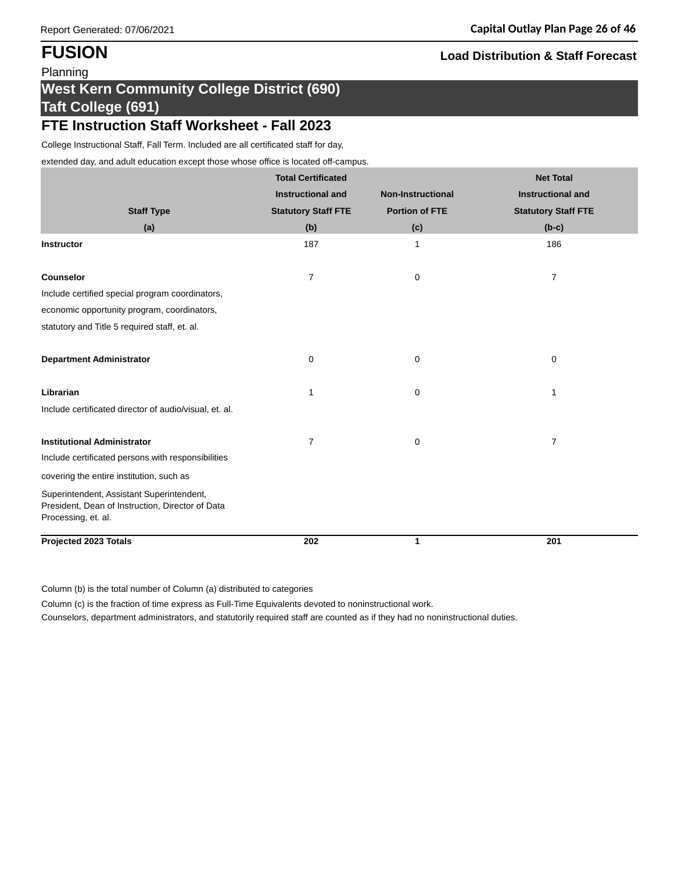# **West Kern Community College District (690) Taft College (691)**

## **FTE Instruction Staff Worksheet - Fall 2023**

College Instructional Staff, Fall Term. Included are all certificated staff for day,

extended day, and adult education except those whose office is located off-campus.

|                                                                         | <b>Total Certificated</b>  |                          | <b>Net Total</b>           |
|-------------------------------------------------------------------------|----------------------------|--------------------------|----------------------------|
|                                                                         | <b>Instructional and</b>   | <b>Non-Instructional</b> | <b>Instructional and</b>   |
| <b>Staff Type</b>                                                       | <b>Statutory Staff FTE</b> | <b>Portion of FTE</b>    | <b>Statutory Staff FTE</b> |
| (a)                                                                     | (b)                        | (c)                      | $(b-c)$                    |
| <b>Instructor</b>                                                       | 187                        | $\mathbf{1}$             | 186                        |
|                                                                         |                            |                          |                            |
| <b>Counselor</b>                                                        | 7                          | 0                        | 7                          |
| Include certified special program coordinators,                         |                            |                          |                            |
| economic opportunity program, coordinators,                             |                            |                          |                            |
| statutory and Title 5 required staff, et. al.                           |                            |                          |                            |
|                                                                         |                            |                          |                            |
| <b>Department Administrator</b>                                         | 0                          | 0                        | 0                          |
| Librarian                                                               | 1                          | 0                        | 1                          |
| Include certificated director of audio/visual, et. al.                  |                            |                          |                            |
|                                                                         |                            |                          |                            |
| <b>Institutional Administrator</b>                                      | 7                          | 0                        | $\overline{7}$             |
| Include certificated persons with responsibilities                      |                            |                          |                            |
| covering the entire institution, such as                                |                            |                          |                            |
| Superintendent, Assistant Superintendent,                               |                            |                          |                            |
| President, Dean of Instruction, Director of Data<br>Processing, et. al. |                            |                          |                            |
|                                                                         |                            |                          |                            |
| <b>Projected 2023 Totals</b>                                            | 202                        | $\mathbf{1}$             | 201                        |

Column (b) is the total number of Column (a) distributed to categories

Column (c) is the fraction of time express as Full-Time Equivalents devoted to noninstructional work.

Counselors, department administrators, and statutorily required staff are counted as if they had no noninstructional duties.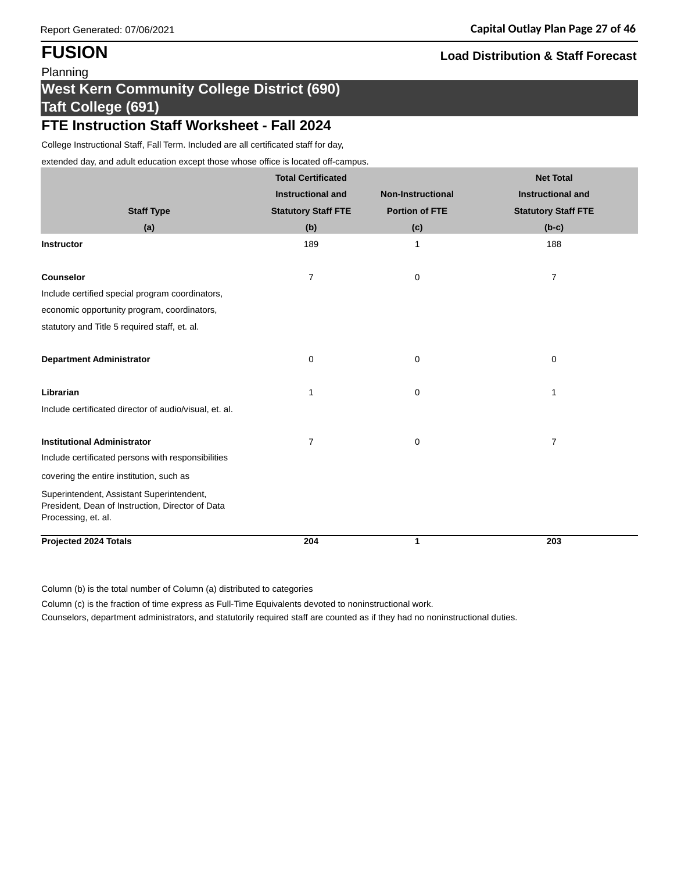# **West Kern Community College District (690) Taft College (691)**

## **FTE Instruction Staff Worksheet - Fall 2024**

College Instructional Staff, Fall Term. Included are all certificated staff for day,

extended day, and adult education except those whose office is located off-campus.

|                                                                         | <b>Total Certificated</b>  |                          | <b>Net Total</b>           |
|-------------------------------------------------------------------------|----------------------------|--------------------------|----------------------------|
|                                                                         | <b>Instructional and</b>   | <b>Non-Instructional</b> | <b>Instructional and</b>   |
| <b>Staff Type</b>                                                       | <b>Statutory Staff FTE</b> | <b>Portion of FTE</b>    | <b>Statutory Staff FTE</b> |
| (a)                                                                     | (b)                        | (c)                      | $(b-c)$                    |
| Instructor                                                              | 189                        | 1                        | 188                        |
|                                                                         |                            |                          |                            |
| <b>Counselor</b>                                                        | 7                          | 0                        | 7                          |
| Include certified special program coordinators,                         |                            |                          |                            |
| economic opportunity program, coordinators,                             |                            |                          |                            |
| statutory and Title 5 required staff, et. al.                           |                            |                          |                            |
|                                                                         |                            |                          |                            |
| <b>Department Administrator</b>                                         | 0                          | 0                        | $\pmb{0}$                  |
| Librarian                                                               |                            |                          |                            |
|                                                                         | 1                          | 0                        | 1                          |
| Include certificated director of audio/visual, et. al.                  |                            |                          |                            |
| <b>Institutional Administrator</b>                                      | 7                          | 0                        | $\overline{7}$             |
| Include certificated persons with responsibilities                      |                            |                          |                            |
| covering the entire institution, such as                                |                            |                          |                            |
| Superintendent, Assistant Superintendent,                               |                            |                          |                            |
| President, Dean of Instruction, Director of Data<br>Processing, et. al. |                            |                          |                            |
|                                                                         |                            |                          |                            |
| <b>Projected 2024 Totals</b>                                            | 204                        | $\mathbf{1}$             | 203                        |

Column (b) is the total number of Column (a) distributed to categories

Column (c) is the fraction of time express as Full-Time Equivalents devoted to noninstructional work.

Counselors, department administrators, and statutorily required staff are counted as if they had no noninstructional duties.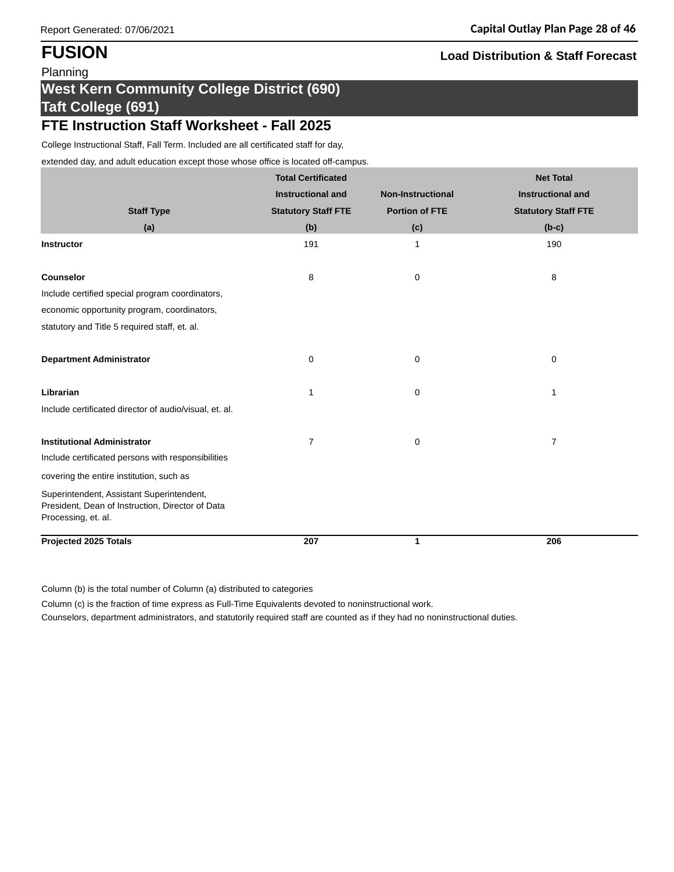# **West Kern Community College District (690) Taft College (691)**

## **FTE Instruction Staff Worksheet - Fall 2025**

College Instructional Staff, Fall Term. Included are all certificated staff for day,

extended day, and adult education except those whose office is located off-campus.

|                                                                         | <b>Total Certificated</b>  |                          | <b>Net Total</b>           |
|-------------------------------------------------------------------------|----------------------------|--------------------------|----------------------------|
|                                                                         | <b>Instructional and</b>   | <b>Non-Instructional</b> | <b>Instructional and</b>   |
| <b>Staff Type</b>                                                       | <b>Statutory Staff FTE</b> | <b>Portion of FTE</b>    | <b>Statutory Staff FTE</b> |
| (a)                                                                     | (b)                        | (c)                      | $(b-c)$                    |
| Instructor                                                              | 191                        | $\mathbf{1}$             | 190                        |
|                                                                         |                            |                          |                            |
| <b>Counselor</b>                                                        | 8                          | 0                        | 8                          |
| Include certified special program coordinators,                         |                            |                          |                            |
| economic opportunity program, coordinators,                             |                            |                          |                            |
| statutory and Title 5 required staff, et. al.                           |                            |                          |                            |
|                                                                         |                            |                          |                            |
| <b>Department Administrator</b>                                         | 0                          | 0                        | 0                          |
| Librarian                                                               | 1                          | 0                        | $\mathbf{1}$               |
| Include certificated director of audio/visual, et. al.                  |                            |                          |                            |
|                                                                         |                            |                          |                            |
| <b>Institutional Administrator</b>                                      | 7                          | 0                        | $\overline{7}$             |
| Include certificated persons with responsibilities                      |                            |                          |                            |
| covering the entire institution, such as                                |                            |                          |                            |
| Superintendent, Assistant Superintendent,                               |                            |                          |                            |
| President, Dean of Instruction, Director of Data<br>Processing, et. al. |                            |                          |                            |
|                                                                         |                            |                          |                            |
| <b>Projected 2025 Totals</b>                                            | 207                        | $\mathbf{1}$             | 206                        |

Column (b) is the total number of Column (a) distributed to categories

Column (c) is the fraction of time express as Full-Time Equivalents devoted to noninstructional work.

Counselors, department administrators, and statutorily required staff are counted as if they had no noninstructional duties.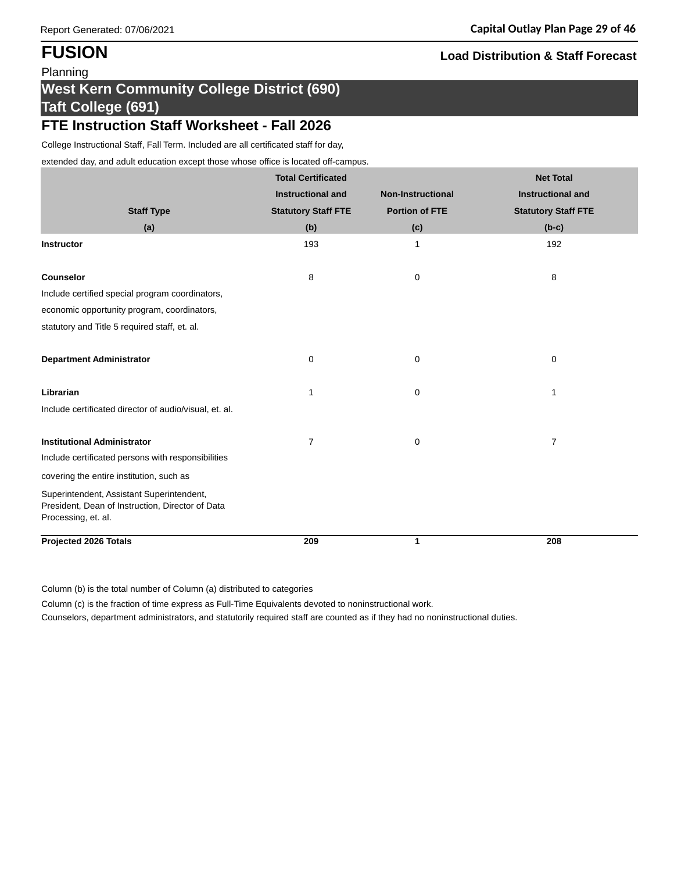# **West Kern Community College District (690) Taft College (691)**

## **FTE Instruction Staff Worksheet - Fall 2026**

College Instructional Staff, Fall Term. Included are all certificated staff for day,

extended day, and adult education except those whose office is located off-campus.

|                                                                         | <b>Total Certificated</b>  |                          | <b>Net Total</b>           |
|-------------------------------------------------------------------------|----------------------------|--------------------------|----------------------------|
|                                                                         | <b>Instructional and</b>   | <b>Non-Instructional</b> | <b>Instructional and</b>   |
| <b>Staff Type</b>                                                       | <b>Statutory Staff FTE</b> | <b>Portion of FTE</b>    | <b>Statutory Staff FTE</b> |
| (a)                                                                     | (b)                        | (c)                      | $(b-c)$                    |
| Instructor                                                              | 193                        | 1                        | 192                        |
|                                                                         |                            |                          |                            |
| <b>Counselor</b>                                                        | 8                          | 0                        | 8                          |
| Include certified special program coordinators,                         |                            |                          |                            |
| economic opportunity program, coordinators,                             |                            |                          |                            |
| statutory and Title 5 required staff, et. al.                           |                            |                          |                            |
|                                                                         |                            |                          |                            |
| <b>Department Administrator</b>                                         | 0                          | 0                        | $\pmb{0}$                  |
| Librarian                                                               |                            |                          |                            |
|                                                                         | 1                          | 0                        | $\mathbf 1$                |
| Include certificated director of audio/visual, et. al.                  |                            |                          |                            |
| <b>Institutional Administrator</b>                                      | 7                          | 0                        | $\overline{7}$             |
| Include certificated persons with responsibilities                      |                            |                          |                            |
| covering the entire institution, such as                                |                            |                          |                            |
| Superintendent, Assistant Superintendent,                               |                            |                          |                            |
| President, Dean of Instruction, Director of Data<br>Processing, et. al. |                            |                          |                            |
|                                                                         |                            |                          |                            |
| <b>Projected 2026 Totals</b>                                            | 209                        | $\mathbf{1}$             | 208                        |

Column (b) is the total number of Column (a) distributed to categories

Column (c) is the fraction of time express as Full-Time Equivalents devoted to noninstructional work.

Counselors, department administrators, and statutorily required staff are counted as if they had no noninstructional duties.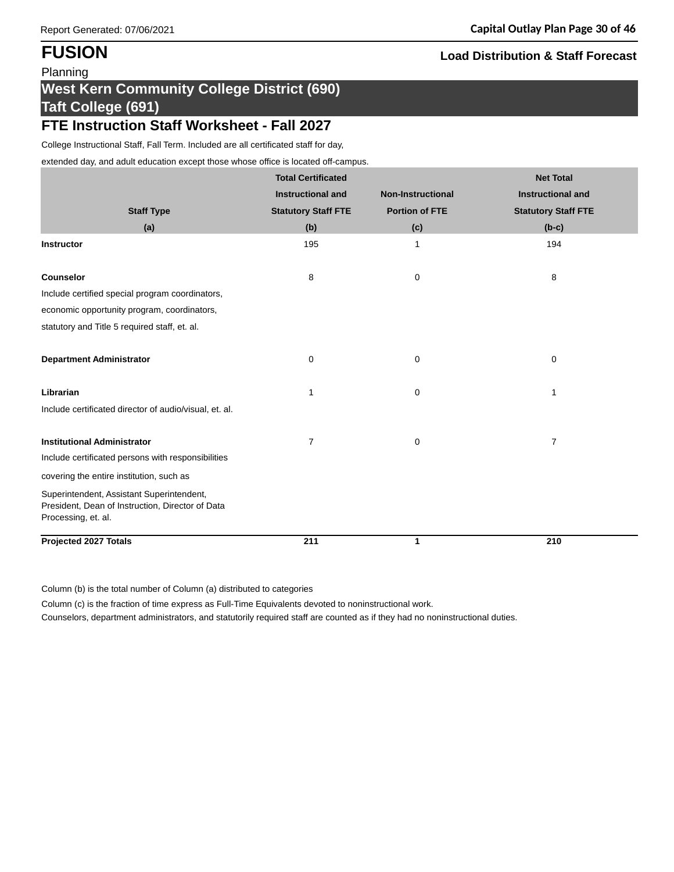# **West Kern Community College District (690) Taft College (691)**

## **FTE Instruction Staff Worksheet - Fall 2027**

College Instructional Staff, Fall Term. Included are all certificated staff for day,

extended day, and adult education except those whose office is located off-campus.

|                                                                                                                      | <b>Total Certificated</b>  |                          | <b>Net Total</b>           |
|----------------------------------------------------------------------------------------------------------------------|----------------------------|--------------------------|----------------------------|
|                                                                                                                      | <b>Instructional and</b>   | <b>Non-Instructional</b> | <b>Instructional and</b>   |
| <b>Staff Type</b>                                                                                                    | <b>Statutory Staff FTE</b> | <b>Portion of FTE</b>    | <b>Statutory Staff FTE</b> |
| (a)                                                                                                                  | (b)                        | (c)                      | $(b-c)$                    |
| <b>Instructor</b>                                                                                                    | 195                        | $\mathbf{1}$             | 194                        |
| Counselor                                                                                                            | 8                          | 0                        | 8                          |
| Include certified special program coordinators,                                                                      |                            |                          |                            |
| economic opportunity program, coordinators,                                                                          |                            |                          |                            |
| statutory and Title 5 required staff, et. al.                                                                        |                            |                          |                            |
|                                                                                                                      |                            |                          |                            |
| <b>Department Administrator</b>                                                                                      | 0                          | 0                        | 0                          |
| Librarian                                                                                                            | 1                          | 0                        | 1                          |
| Include certificated director of audio/visual, et. al.                                                               |                            |                          |                            |
| <b>Institutional Administrator</b>                                                                                   | $\overline{7}$             | 0                        | $\overline{7}$             |
| Include certificated persons with responsibilities                                                                   |                            |                          |                            |
| covering the entire institution, such as                                                                             |                            |                          |                            |
| Superintendent, Assistant Superintendent,<br>President, Dean of Instruction, Director of Data<br>Processing, et. al. |                            |                          |                            |
| <b>Projected 2027 Totals</b>                                                                                         | 211                        | 1                        | 210                        |

Column (b) is the total number of Column (a) distributed to categories

Column (c) is the fraction of time express as Full-Time Equivalents devoted to noninstructional work.

Counselors, department administrators, and statutorily required staff are counted as if they had no noninstructional duties.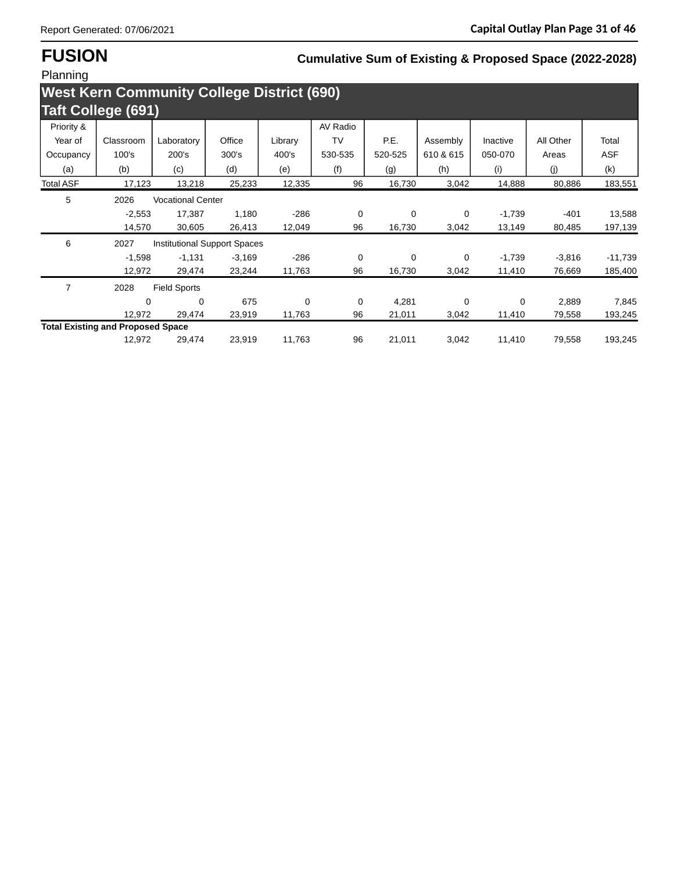# **FUSION Cumulative Sum of Existing & Proposed Space (2022-2028)**

| Planning                                          |                                          |                          |                              |         |           |         |           |          |           |            |
|---------------------------------------------------|------------------------------------------|--------------------------|------------------------------|---------|-----------|---------|-----------|----------|-----------|------------|
| <b>West Kern Community College District (690)</b> |                                          |                          |                              |         |           |         |           |          |           |            |
| <b>Taft College (691)</b>                         |                                          |                          |                              |         |           |         |           |          |           |            |
| Priority &                                        |                                          |                          |                              |         | AV Radio  |         |           |          |           |            |
| Year of                                           | Classroom                                | Laboratory               | Office                       | Library | <b>TV</b> | P.E.    | Assembly  | Inactive | All Other | Total      |
| Occupancy                                         | 100's                                    | 200's                    | 300's                        | 400's   | 530-535   | 520-525 | 610 & 615 | 050-070  | Areas     | <b>ASF</b> |
| (a)                                               | (b)                                      | (c)                      | (d)                          | (e)     | (f)       | (g)     | (h)       | (i)      | (j)       | (k)        |
| <b>Total ASF</b>                                  | 17,123                                   | 13,218                   | 25,233                       | 12,335  | 96        | 16,730  | 3,042     | 14,888   | 80,886    | 183,551    |
| 5                                                 | 2026                                     | <b>Vocational Center</b> |                              |         |           |         |           |          |           |            |
|                                                   | $-2,553$                                 | 17,387                   | 1,180                        | $-286$  | 0         | 0       | 0         | $-1,739$ | $-401$    | 13,588     |
|                                                   | 14,570                                   | 30,605                   | 26,413                       | 12,049  | 96        | 16,730  | 3,042     | 13,149   | 80,485    | 197,139    |
| 6                                                 | 2027                                     |                          | Institutional Support Spaces |         |           |         |           |          |           |            |
|                                                   | $-1,598$                                 | $-1,131$                 | $-3,169$                     | $-286$  | 0         | 0       | 0         | $-1,739$ | $-3,816$  | $-11,739$  |
|                                                   | 12,972                                   | 29,474                   | 23,244                       | 11,763  | 96        | 16,730  | 3,042     | 11,410   | 76,669    | 185,400    |
| $\overline{7}$                                    | 2028                                     | <b>Field Sports</b>      |                              |         |           |         |           |          |           |            |
|                                                   | 0                                        | 0                        | 675                          | 0       | 0         | 4,281   | 0         | 0        | 2,889     | 7,845      |
|                                                   | 12,972                                   | 29,474                   | 23,919                       | 11,763  | 96        | 21,011  | 3,042     | 11,410   | 79,558    | 193,245    |
|                                                   | <b>Total Existing and Proposed Space</b> |                          |                              |         |           |         |           |          |           |            |
|                                                   | 12,972                                   | 29,474                   | 23,919                       | 11,763  | 96        | 21,011  | 3,042     | 11,410   | 79,558    | 193,245    |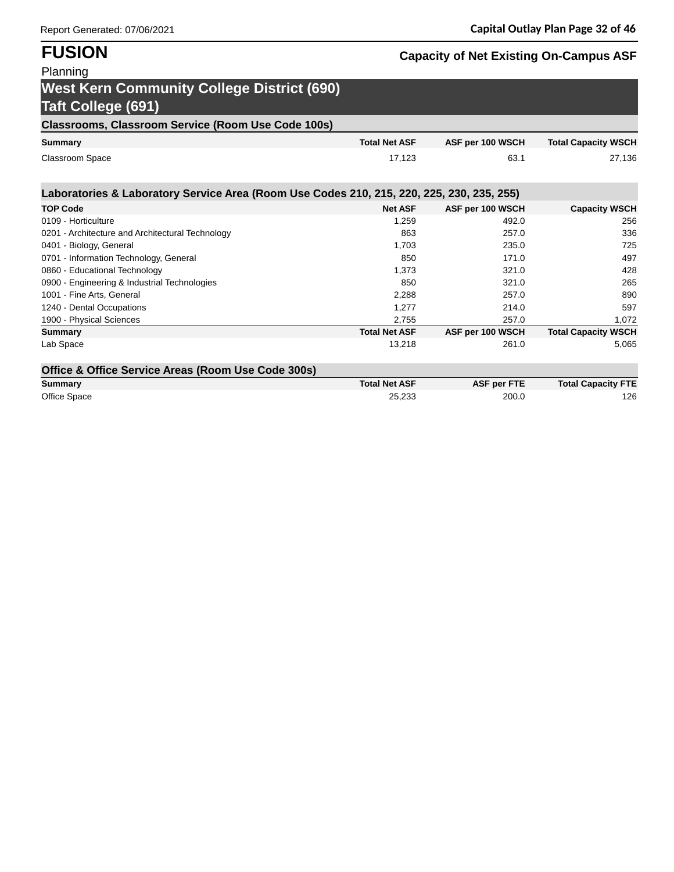# **FUSION Capacity of Net Existing On-Campus ASF**

## Planning **West Kern Community College District (690) Taft College (691)**

## **Classrooms, Classroom Service (Room Use Code 100s)**

| <b>Summary</b>  | <b>Total Net ASF</b> | ASF per 100 WSCH | <b>Total Capacity WSCH</b> |
|-----------------|----------------------|------------------|----------------------------|
| Classroom Space | 17.123               | 63.1             | 27,136                     |

| Laboratories & Laboratory Service Area (Room Use Codes 210, 215, 220, 225, 230, 235, 255) |                      |                    |                            |
|-------------------------------------------------------------------------------------------|----------------------|--------------------|----------------------------|
| <b>TOP Code</b>                                                                           | <b>Net ASF</b>       | ASF per 100 WSCH   | <b>Capacity WSCH</b>       |
| 0109 - Horticulture                                                                       | 1,259                | 492.0              | 256                        |
| 0201 - Architecture and Architectural Technology                                          | 863                  | 257.0              | 336                        |
| 0401 - Biology, General                                                                   | 1,703                | 235.0              | 725                        |
| 0701 - Information Technology, General                                                    | 850                  | 171.0              | 497                        |
| 0860 - Educational Technology                                                             | 1,373                | 321.0              | 428                        |
| 0900 - Engineering & Industrial Technologies                                              | 850                  | 321.0              | 265                        |
| 1001 - Fine Arts, General                                                                 | 2,288                | 257.0              | 890                        |
| 1240 - Dental Occupations                                                                 | 1,277                | 214.0              | 597                        |
| 1900 - Physical Sciences                                                                  | 2,755                | 257.0              | 1,072                      |
| Summary                                                                                   | <b>Total Net ASF</b> | ASF per 100 WSCH   | <b>Total Capacity WSCH</b> |
| Lab Space                                                                                 | 13,218               | 261.0              | 5,065                      |
| Office & Office Service Areas (Room Use Code 300s)                                        |                      |                    |                            |
| Summary                                                                                   | <b>Total Net ASF</b> | <b>ASF per FTE</b> | <b>Total Capacity FTE</b>  |

| Summary      | Total Net ASF | ASF per FIE | <b>Total Capacity FIL</b> |
|--------------|---------------|-------------|---------------------------|
| Office Space | 25.233        | 200.0       | 126                       |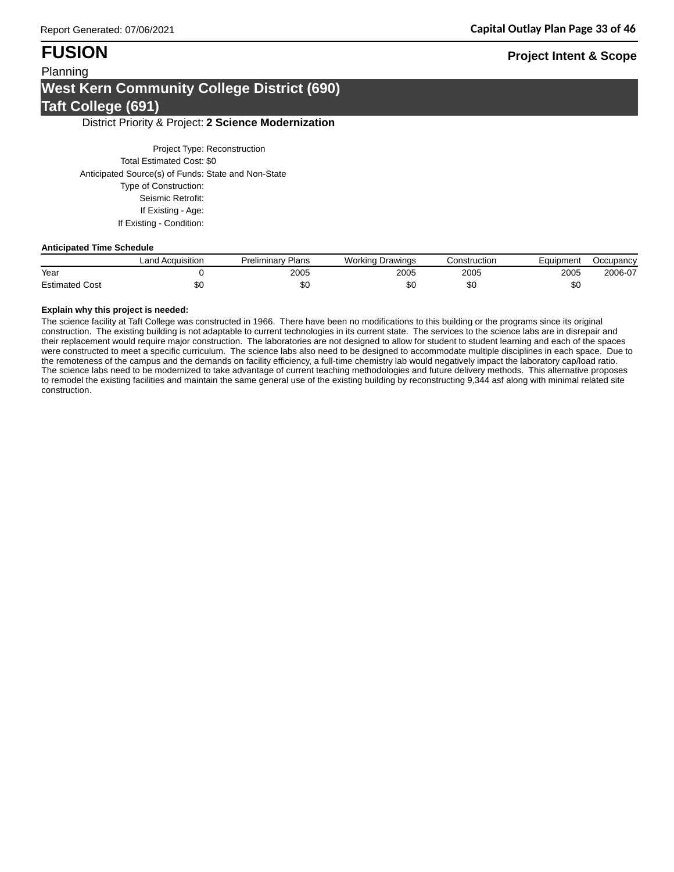## **FUSION Project Intent & Scope**

## Planning **West Kern Community College District (690) Taft College (691)**

### District Priority & Project: **2 Science Modernization**

Project Type: Reconstruction Total Estimated Cost: \$0 Anticipated Source(s) of Funds: State and Non-State Type of Construction: Seismic Retrofit: If Existing - Age: If Existing - Condition:

### **Anticipated Time Schedule**

|                       | Land Acquisition | v Plans<br>Preliminarv | Workina<br>Drawings | Construction | Equipment | Occupancy |
|-----------------------|------------------|------------------------|---------------------|--------------|-----------|-----------|
| Year                  |                  | 2005                   | 2005                | 2005         | 2005      | 2006-07   |
| <b>Estimated Cost</b> | DU               | Ψ⊌                     | \$0                 | \$0          | ሖጣ<br>ФU  |           |

### **Explain why this project is needed:**

The science facility at Taft College was constructed in 1966. There have been no modifications to this building or the programs since its original construction. The existing building is not adaptable to current technologies in its current state. The services to the science labs are in disrepair and their replacement would require major construction. The laboratories are not designed to allow for student to student learning and each of the spaces were constructed to meet a specific curriculum. The science labs also need to be designed to accommodate multiple disciplines in each space. Due to the remoteness of the campus and the demands on facility efficiency, a full-time chemistry lab would negatively impact the laboratory cap/load ratio. The science labs need to be modernized to take advantage of current teaching methodologies and future delivery methods. This alternative proposes to remodel the existing facilities and maintain the same general use of the existing building by reconstructing 9,344 asf along with minimal related site construction.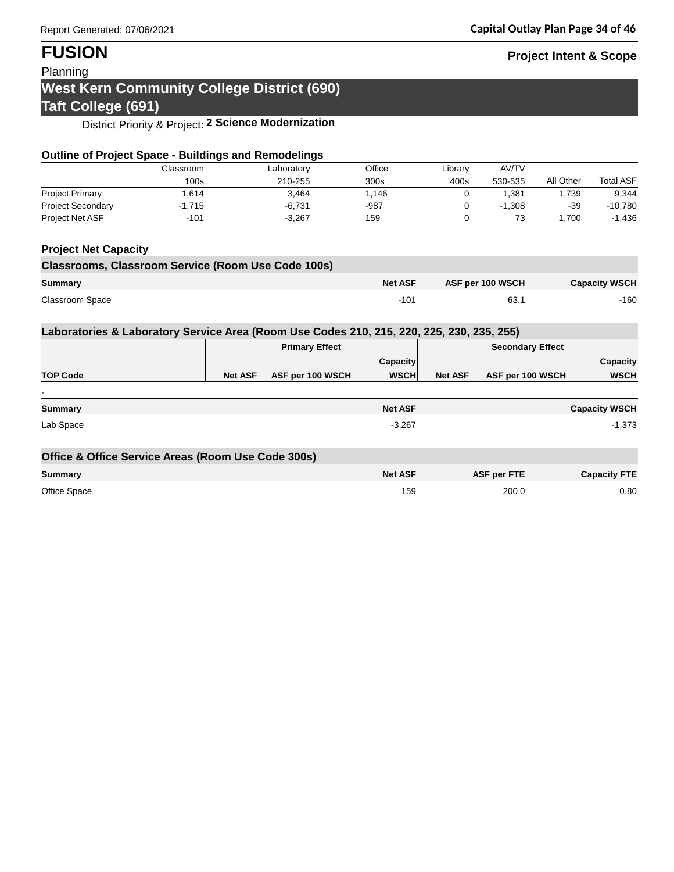# **FUSION Project Intent & Scope**

Planning

# **West Kern Community College District (690)**

## **Taft College (691)**

District Priority & Project: **2 Science Modernization**

| <b>Outline of Project Space - Buildings and Remodelings</b>                               |           |                |                       |                |                |                         |           |                      |
|-------------------------------------------------------------------------------------------|-----------|----------------|-----------------------|----------------|----------------|-------------------------|-----------|----------------------|
|                                                                                           | Classroom |                | Laboratory            | Office         | Library        | AV/TV                   |           |                      |
|                                                                                           | 100s      |                | 210-255               | 300s           | 400s           | 530-535                 | All Other | <b>Total ASF</b>     |
| <b>Project Primary</b>                                                                    | 1,614     |                | 3.464                 | 1,146          | $\Omega$       | 1,381                   | 1,739     | 9,344                |
| <b>Project Secondary</b>                                                                  | $-1,715$  |                | $-6,731$              | $-987$         | 0              | $-1,308$                | $-39$     | $-10,780$            |
| Project Net ASF                                                                           | $-101$    |                | $-3,267$              | 159            | $\Omega$       | 73                      | 1,700     | $-1,436$             |
| <b>Project Net Capacity</b>                                                               |           |                |                       |                |                |                         |           |                      |
| <b>Classrooms, Classroom Service (Room Use Code 100s)</b>                                 |           |                |                       |                |                |                         |           |                      |
| Summary                                                                                   |           |                |                       | <b>Net ASF</b> |                | ASF per 100 WSCH        |           | <b>Capacity WSCH</b> |
| <b>Classroom Space</b>                                                                    |           |                |                       | $-101$         |                | 63.1                    |           | $-160$               |
| Laboratories & Laboratory Service Area (Room Use Codes 210, 215, 220, 225, 230, 235, 255) |           |                |                       |                |                |                         |           |                      |
|                                                                                           |           |                | <b>Primary Effect</b> |                |                | <b>Secondary Effect</b> |           |                      |
|                                                                                           |           |                |                       | Capacity       |                |                         |           | Capacity             |
| <b>TOP Code</b>                                                                           |           | <b>Net ASF</b> | ASF per 100 WSCH      | <b>WSCH</b>    | <b>Net ASF</b> | ASF per 100 WSCH        |           | <b>WSCH</b>          |
|                                                                                           |           |                |                       |                |                |                         |           |                      |
| <b>Summary</b>                                                                            |           |                |                       | <b>Net ASF</b> |                |                         |           | <b>Capacity WSCH</b> |
| Lab Space                                                                                 |           |                |                       | $-3,267$       |                |                         |           | $-1,373$             |
| Office & Office Service Areas (Room Use Code 300s)                                        |           |                |                       |                |                |                         |           |                      |
| <b>Summary</b>                                                                            |           |                |                       | <b>Net ASF</b> |                | <b>ASF per FTE</b>      |           | <b>Capacity FTE</b>  |
| Office Space                                                                              |           |                |                       | 159            |                | 200.0                   |           | 0.80                 |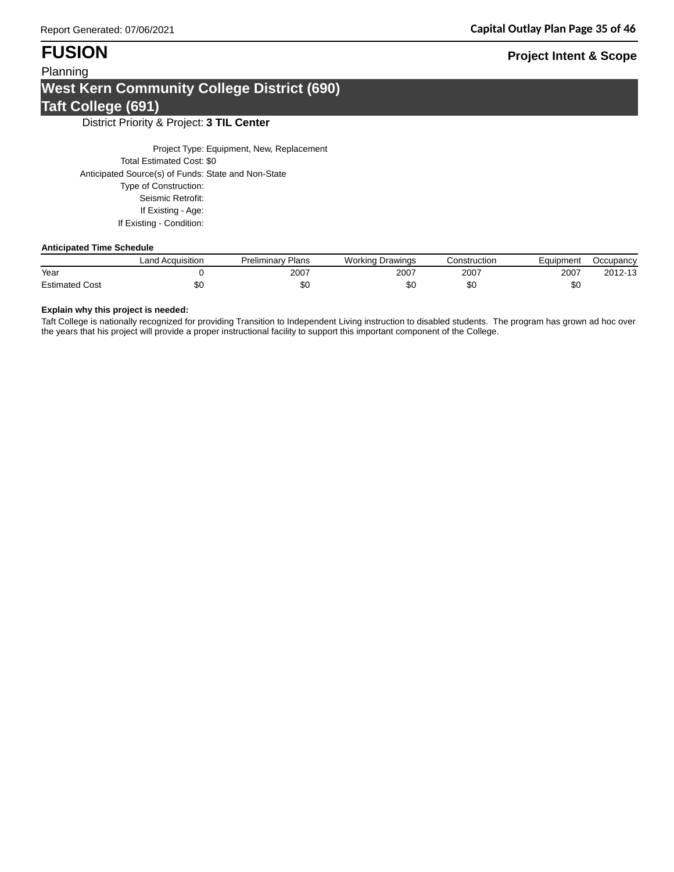## Planning **West Kern Community College District (690) Taft College (691)**

District Priority & Project: **3 TIL Center**

Project Type: Equipment, New, Replacement Total Estimated Cost: \$0 Anticipated Source(s) of Funds: State and Non-State Type of Construction: Seismic Retrofit: If Existing - Age: If Existing - Condition:

### **Anticipated Time Schedule**

|                       | Land Acquisition | Plans<br>Preliminarv | <b>Working Drawings</b> | Construction | Equipment | Occupancy |
|-----------------------|------------------|----------------------|-------------------------|--------------|-----------|-----------|
| Year                  |                  | 2007                 | 2007                    | 2007         | 2007      | 2012-13   |
| <b>Estimated Cost</b> |                  | \$0                  | ΦU                      | ັບ           | \$0       |           |

### **Explain why this project is needed:**

Taft College is nationally recognized for providing Transition to Independent Living instruction to disabled students. The program has grown ad hoc over the years that his project will provide a proper instructional facility to support this important component of the College.

## **FUSION Project Intent & Scope**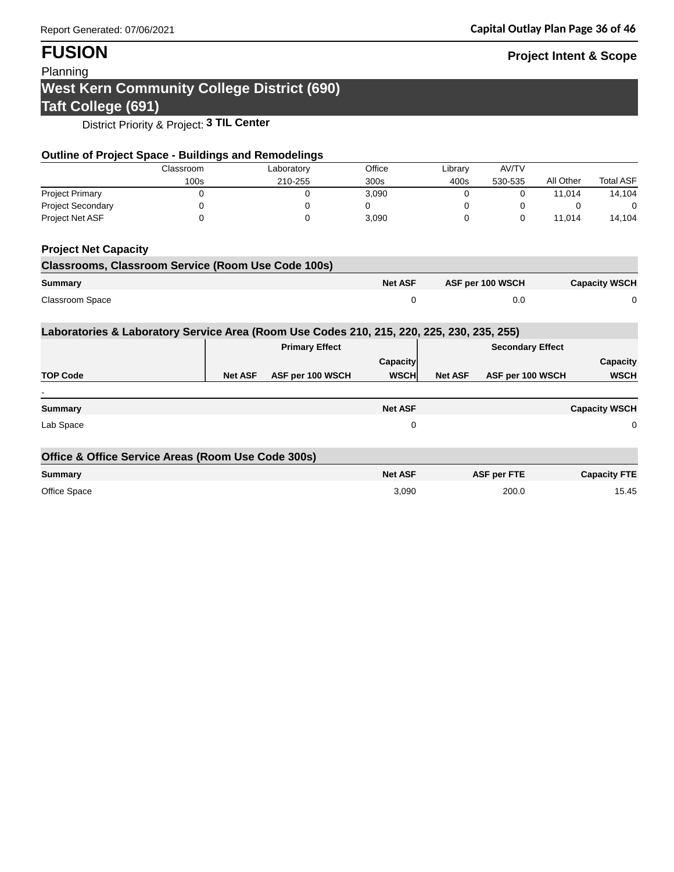# **FUSION Project Intent & Scope**

## Planning

## **West Kern Community College District (690) Taft College (691)**

District Priority & Project: **3 TIL Center**

| <b>Outline of Project Space - Buildings and Remodelings</b>                               |           |                |                       |                |                |                         |           |                      |
|-------------------------------------------------------------------------------------------|-----------|----------------|-----------------------|----------------|----------------|-------------------------|-----------|----------------------|
|                                                                                           | Classroom |                | Laboratory            | Office         | Library        | AV/TV                   |           |                      |
|                                                                                           | 100s      |                | 210-255               | 300s           | 400s           | 530-535                 | All Other | <b>Total ASF</b>     |
| <b>Project Primary</b>                                                                    | 0         |                | 0                     | 3,090          | $\Omega$       | 0                       | 11,014    | 14,104               |
| <b>Project Secondary</b>                                                                  | 0         |                | 0                     | 0              | 0              | 0                       | 0         | 0                    |
| Project Net ASF                                                                           | 0         |                | 0                     | 3,090          | 0              | 0                       | 11,014    | 14,104               |
| <b>Project Net Capacity</b>                                                               |           |                |                       |                |                |                         |           |                      |
| <b>Classrooms, Classroom Service (Room Use Code 100s)</b>                                 |           |                |                       |                |                |                         |           |                      |
| Summary                                                                                   |           |                |                       | <b>Net ASF</b> |                | ASF per 100 WSCH        |           | <b>Capacity WSCH</b> |
| <b>Classroom Space</b>                                                                    |           |                |                       | 0              |                | 0.0                     |           | 0                    |
| Laboratories & Laboratory Service Area (Room Use Codes 210, 215, 220, 225, 230, 235, 255) |           |                |                       |                |                |                         |           |                      |
|                                                                                           |           |                | <b>Primary Effect</b> |                |                | <b>Secondary Effect</b> |           |                      |
|                                                                                           |           |                |                       | Capacity       |                |                         |           | Capacity             |
| <b>TOP Code</b>                                                                           |           | <b>Net ASF</b> | ASF per 100 WSCH      | <b>WSCH</b>    | <b>Net ASF</b> | ASF per 100 WSCH        |           | <b>WSCH</b>          |
|                                                                                           |           |                |                       |                |                |                         |           |                      |
| <b>Summary</b>                                                                            |           |                |                       | <b>Net ASF</b> |                |                         |           | <b>Capacity WSCH</b> |
| Lab Space                                                                                 |           |                |                       | 0              |                |                         |           | 0                    |
| Office & Office Service Areas (Room Use Code 300s)                                        |           |                |                       |                |                |                         |           |                      |
| <b>Summary</b>                                                                            |           |                |                       | <b>Net ASF</b> |                | <b>ASF per FTE</b>      |           | <b>Capacity FTE</b>  |
| Office Space                                                                              |           |                |                       | 3,090          |                | 200.0                   |           | 15.45                |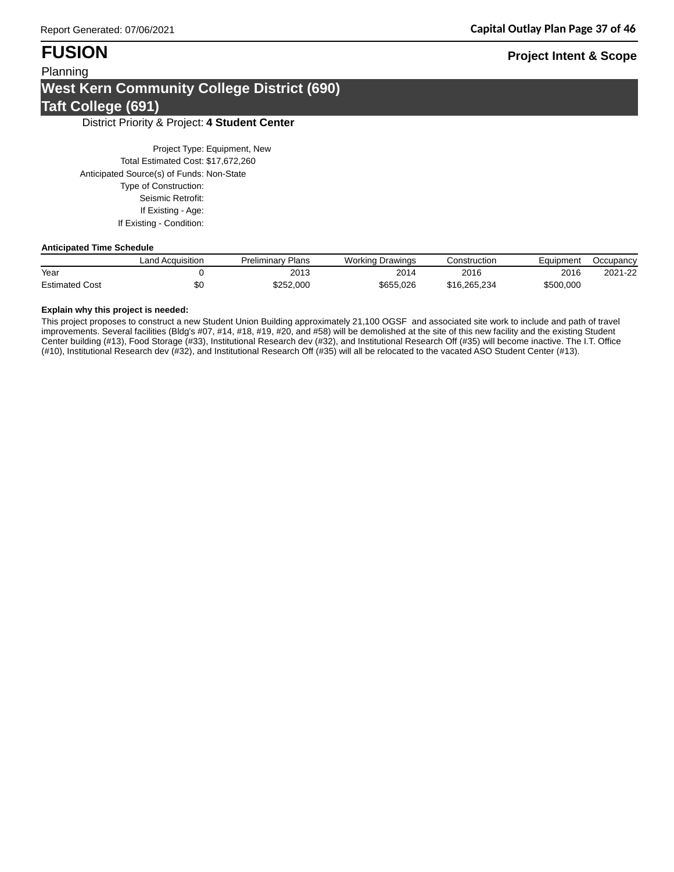## Planning **West Kern Community College District (690) Taft College (691)**

### District Priority & Project: **4 Student Center**

Project Type: Equipment, New Total Estimated Cost: \$17,672,260 Anticipated Source(s) of Funds: Non-State Type of Construction: Seismic Retrofit: If Existing - Age: If Existing - Condition:

### **Anticipated Time Schedule**

|                       | ∟and Acquisition | Preliminary Plans | <b>Working Drawings</b> | Construction | Eauipment | Occupancy |
|-----------------------|------------------|-------------------|-------------------------|--------------|-----------|-----------|
| Year                  |                  | 2013              | 2014                    | 2016         | 2016      | 2021-22   |
| <b>Estimated Cost</b> | ⊅∪               | \$252.000         | \$655.026               | \$16.265.234 | \$500.000 |           |

### **Explain why this project is needed:**

This project proposes to construct a new Student Union Building approximately 21,100 OGSF and associated site work to include and path of travel improvements. Several facilities (Bldg's #07, #14, #18, #19, #20, and #58) will be demolished at the site of this new facility and the existing Student Center building (#13), Food Storage (#33), Institutional Research dev (#32), and Institutional Research Off (#35) will become inactive. The I.T. Office (#10), Institutional Research dev (#32), and Institutional Research Off (#35) will all be relocated to the vacated ASO Student Center (#13).

## **FUSION Project Intent & Scope**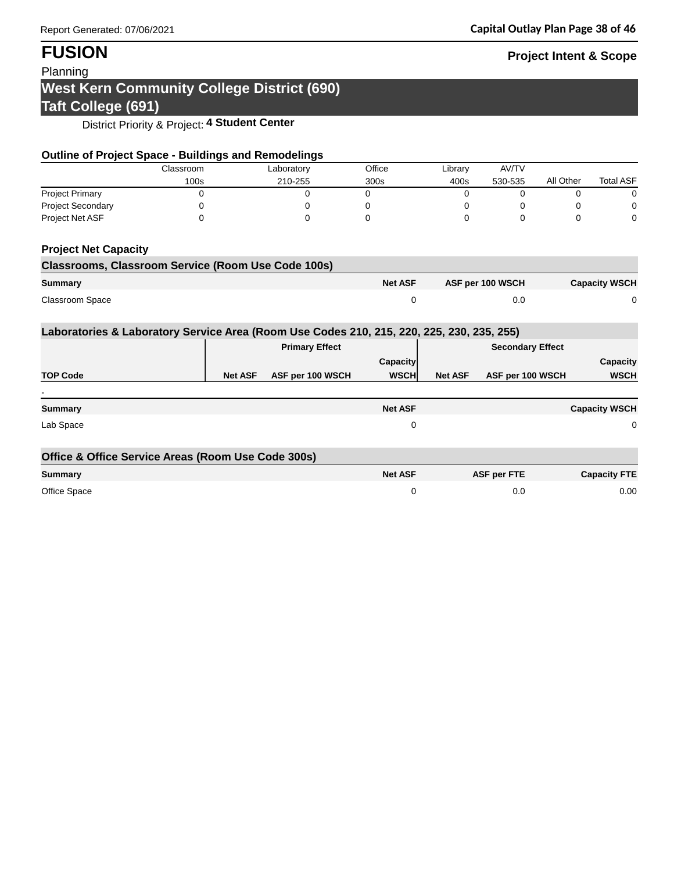# **FUSION Project Intent & Scope**

## Planning

# **West Kern Community College District (690) Taft College (691)**

District Priority & Project: **4 Student Center**

| <b>Outline of Project Space - Buildings and Remodelings</b>                               |           |                |                       |                |                         |                    |           |                      |
|-------------------------------------------------------------------------------------------|-----------|----------------|-----------------------|----------------|-------------------------|--------------------|-----------|----------------------|
|                                                                                           | Classroom |                | Laboratory            | Office         | Library                 | AV/TV              |           |                      |
|                                                                                           | 100s      |                | 210-255               | 300s           | 400s                    | 530-535            | All Other | <b>Total ASF</b>     |
| <b>Project Primary</b>                                                                    | 0         |                | 0                     | 0              | 0                       | 0                  | 0         | 0                    |
| <b>Project Secondary</b>                                                                  | 0         |                | 0                     | 0              | 0                       | 0                  | 0         | 0                    |
| Project Net ASF                                                                           | 0         |                | 0                     | 0              | $\Omega$                | 0                  | $\Omega$  | 0                    |
| <b>Project Net Capacity</b>                                                               |           |                |                       |                |                         |                    |           |                      |
| <b>Classrooms, Classroom Service (Room Use Code 100s)</b>                                 |           |                |                       |                |                         |                    |           |                      |
| <b>Summary</b>                                                                            |           |                |                       | <b>Net ASF</b> |                         | ASF per 100 WSCH   |           | <b>Capacity WSCH</b> |
| Classroom Space                                                                           |           |                |                       | 0              |                         | 0.0                |           | 0                    |
| Laboratories & Laboratory Service Area (Room Use Codes 210, 215, 220, 225, 230, 235, 255) |           |                |                       |                |                         |                    |           |                      |
|                                                                                           |           |                | <b>Primary Effect</b> |                | <b>Secondary Effect</b> |                    |           |                      |
|                                                                                           |           |                |                       | Capacity       |                         |                    |           | Capacity             |
| <b>TOP Code</b>                                                                           |           | <b>Net ASF</b> | ASF per 100 WSCH      | <b>WSCH</b>    | <b>Net ASF</b>          | ASF per 100 WSCH   |           | <b>WSCH</b>          |
|                                                                                           |           |                |                       |                |                         |                    |           |                      |
| Summary                                                                                   |           |                |                       | <b>Net ASF</b> |                         |                    |           | <b>Capacity WSCH</b> |
| Lab Space                                                                                 |           |                |                       | 0              |                         |                    |           | 0                    |
| Office & Office Service Areas (Room Use Code 300s)                                        |           |                |                       |                |                         |                    |           |                      |
| <b>Summary</b>                                                                            |           |                |                       | <b>Net ASF</b> |                         | <b>ASF per FTE</b> |           | <b>Capacity FTE</b>  |
| Office Space                                                                              |           |                |                       | 0              |                         | 0.0                |           | 0.00                 |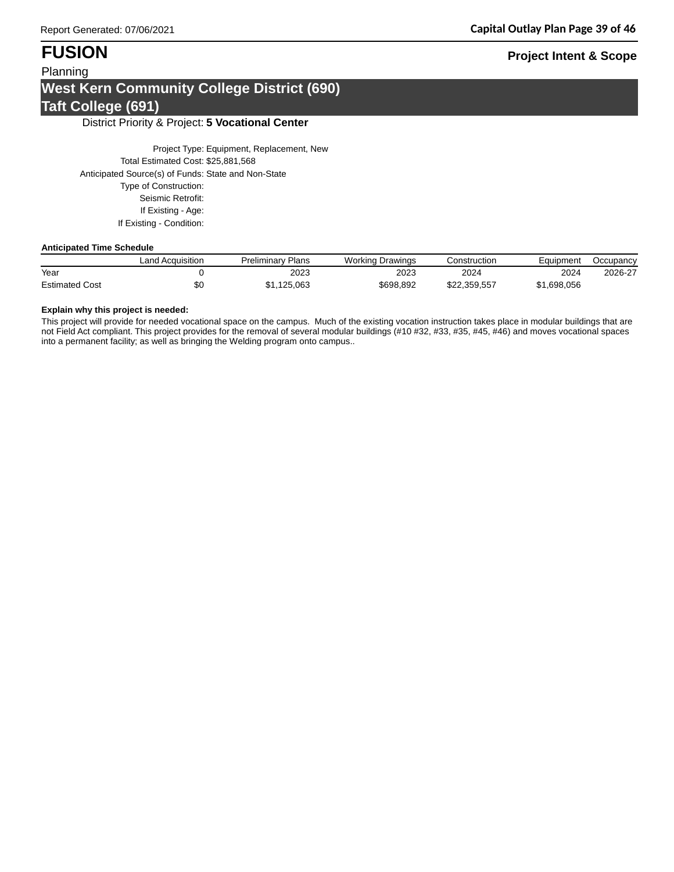## Planning **West Kern Community College District (690) Taft College (691)**

### District Priority & Project: **5 Vocational Center**

Project Type: Equipment, Replacement, New Total Estimated Cost: \$25,881,568 Anticipated Source(s) of Funds: State and Non-State Type of Construction: Seismic Retrofit: If Existing - Age: If Existing - Condition:

### **Anticipated Time Schedule**

|                       | ∟and Acquisition | Preliminary Plans | <b>Working Drawings</b> | Construction | Eauipment   | Occupancy |
|-----------------------|------------------|-------------------|-------------------------|--------------|-------------|-----------|
| Year                  |                  | 2023              | 2023                    | 2024         | 2024        | 2026-27   |
| <b>Estimated Cost</b> | υŒ               | \$1.125.063       | \$698,892               | \$22.359.557 | \$1,698,056 |           |

### **Explain why this project is needed:**

This project will provide for needed vocational space on the campus. Much of the existing vocation instruction takes place in modular buildings that are not Field Act compliant. This project provides for the removal of several modular buildings (#10 #32, #33, #35, #45, #46) and moves vocational spaces into a permanent facility; as well as bringing the Welding program onto campus..

## **FUSION Project Intent & Scope**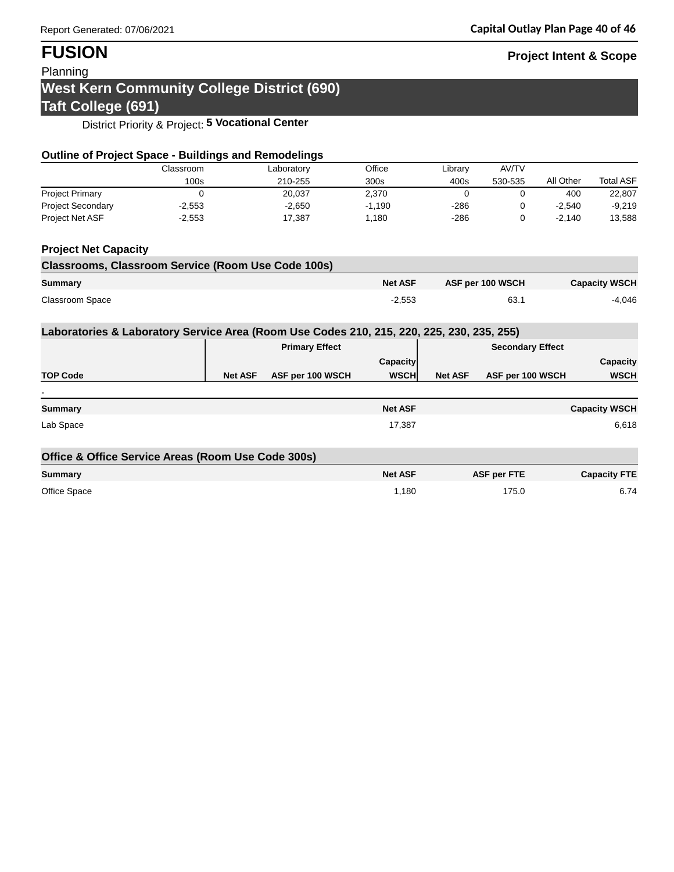# **FUSION Project Intent & Scope**

## Planning

# **West Kern Community College District (690)**

# **Taft College (691)**

District Priority & Project: **5 Vocational Center**

| <b>Outline of Project Space - Buildings and Remodelings</b>                               |           |                |                       |                 |                  |                         |                      |                      |
|-------------------------------------------------------------------------------------------|-----------|----------------|-----------------------|-----------------|------------------|-------------------------|----------------------|----------------------|
|                                                                                           | Classroom |                | Laboratory            | Office          | Library          | AV/TV                   |                      |                      |
|                                                                                           | 100s      |                | 210-255               | 300s            | 400s             | 530-535                 | All Other            | <b>Total ASF</b>     |
| <b>Project Primary</b>                                                                    | 0         |                | 20,037                | 2,370           | $\Omega$         | 0                       | 400                  | 22,807               |
| <b>Project Secondary</b>                                                                  | $-2,553$  |                | $-2,650$              | $-1,190$        | $-286$           | 0                       | $-2,540$             | $-9,219$             |
| Project Net ASF                                                                           | $-2,553$  |                | 17,387                | 1,180           | $-286$           | 0                       | $-2,140$             | 13,588               |
| <b>Project Net Capacity</b>                                                               |           |                |                       |                 |                  |                         |                      |                      |
| <b>Classrooms, Classroom Service (Room Use Code 100s)</b>                                 |           |                |                       |                 |                  |                         |                      |                      |
| <b>Summary</b>                                                                            |           |                | <b>Net ASF</b>        |                 | ASF per 100 WSCH |                         | <b>Capacity WSCH</b> |                      |
| Classroom Space                                                                           |           |                |                       | $-2,553$        |                  | 63.1                    |                      | $-4.046$             |
| Laboratories & Laboratory Service Area (Room Use Codes 210, 215, 220, 225, 230, 235, 255) |           |                |                       |                 |                  |                         |                      |                      |
|                                                                                           |           |                | <b>Primary Effect</b> |                 |                  | <b>Secondary Effect</b> |                      |                      |
|                                                                                           |           |                |                       | <b>Capacity</b> |                  |                         |                      | Capacity             |
| <b>TOP Code</b>                                                                           |           | <b>Net ASF</b> | ASF per 100 WSCH      | <b>WSCH</b>     | <b>Net ASF</b>   | ASF per 100 WSCH        |                      | <b>WSCH</b>          |
|                                                                                           |           |                |                       |                 |                  |                         |                      |                      |
| Summary                                                                                   |           |                |                       | <b>Net ASF</b>  |                  |                         |                      | <b>Capacity WSCH</b> |
| Lab Space                                                                                 |           |                |                       | 17,387          |                  |                         |                      | 6,618                |
| Office & Office Service Areas (Room Use Code 300s)                                        |           |                |                       |                 |                  |                         |                      |                      |
| <b>Summary</b>                                                                            |           |                |                       | <b>Net ASF</b>  |                  | <b>ASF per FTE</b>      |                      | <b>Capacity FTE</b>  |
| Office Space                                                                              |           |                |                       | 1,180           |                  | 175.0                   |                      | 6.74                 |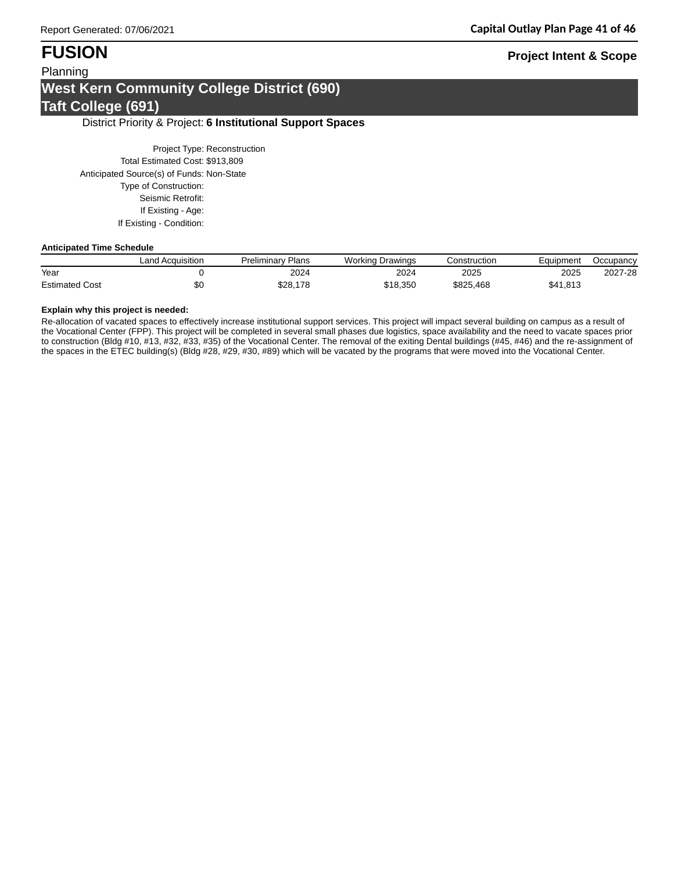## Planning **West Kern Community College District (690) Taft College (691)**

### District Priority & Project: **6 Institutional Support Spaces**

Project Type: Reconstruction Total Estimated Cost: \$913,809 Anticipated Source(s) of Funds: Non-State Type of Construction: Seismic Retrofit: If Existing - Age: If Existing - Condition:

### **Anticipated Time Schedule**

|                       | Land Acquisition | <b>Preliminary Plans</b> | <b>Working Drawings</b> | Construction | Eauipment | Occupancy |
|-----------------------|------------------|--------------------------|-------------------------|--------------|-----------|-----------|
| Year                  |                  | 2024                     | 2024                    | 2025         | 2025      | 2027-28   |
| <b>Estimated Cost</b> | ሖጣ<br>ъU         | \$28,178                 | \$18.350                | \$825.468    | \$41,813  |           |

### **Explain why this project is needed:**

Re-allocation of vacated spaces to effectively increase institutional support services. This project will impact several building on campus as a result of the Vocational Center (FPP). This project will be completed in several small phases due logistics, space availability and the need to vacate spaces prior to construction (Bldg #10, #13, #32, #33, #35) of the Vocational Center. The removal of the exiting Dental buildings (#45, #46) and the re-assignment of the spaces in the ETEC building(s) (Bldg #28, #29, #30, #89) which will be vacated by the programs that were moved into the Vocational Center.

## **FUSION Project Intent & Scope**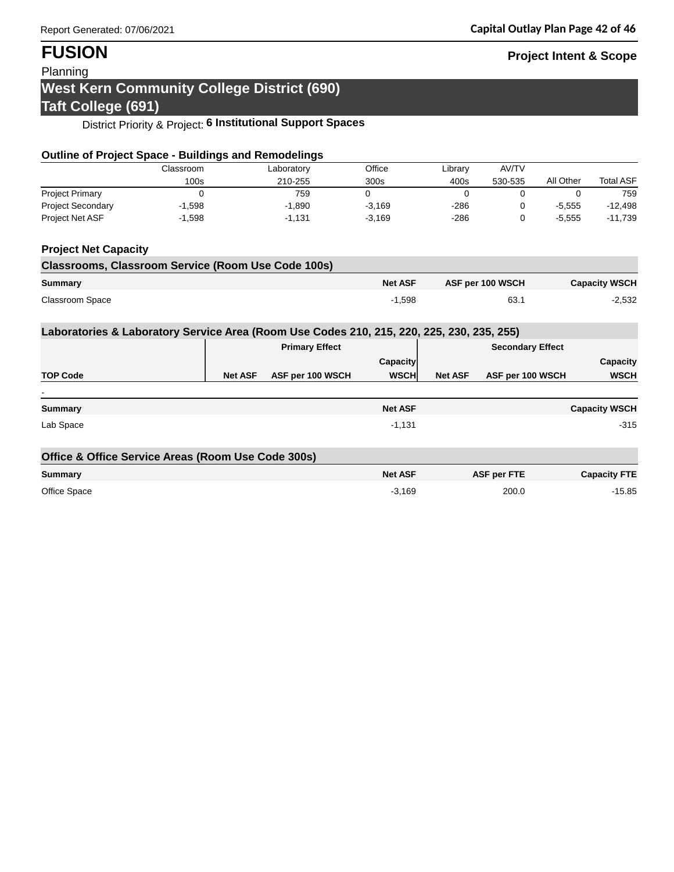# **FUSION Project Intent & Scope**

## Planning

## **West Kern Community College District (690) Taft College (691)**

# District Priority & Project: **6 Institutional Support Spaces**

| <b>Outline of Project Space - Buildings and Remodelings</b>                               |           |                |                       |                |                |                         |           |                      |
|-------------------------------------------------------------------------------------------|-----------|----------------|-----------------------|----------------|----------------|-------------------------|-----------|----------------------|
|                                                                                           | Classroom |                | Laboratory            | Office         | Library        | AV/TV                   |           |                      |
|                                                                                           | 100s      |                | 210-255               | 300s           | 400s           | 530-535                 | All Other | <b>Total ASF</b>     |
| <b>Project Primary</b>                                                                    | 0         |                | 759                   | $\Omega$       | 0              | 0                       | 0         | 759                  |
| <b>Project Secondary</b>                                                                  | $-1,598$  |                | $-1,890$              | $-3,169$       | $-286$         | 0                       | $-5,555$  | $-12,498$            |
| Project Net ASF                                                                           | $-1,598$  |                | $-1,131$              | $-3,169$       | $-286$         | 0                       | $-5,555$  | $-11,739$            |
| <b>Project Net Capacity</b>                                                               |           |                |                       |                |                |                         |           |                      |
| <b>Classrooms, Classroom Service (Room Use Code 100s)</b>                                 |           |                |                       |                |                |                         |           |                      |
| Summary                                                                                   |           |                |                       | <b>Net ASF</b> |                | ASF per 100 WSCH        |           | <b>Capacity WSCH</b> |
| <b>Classroom Space</b>                                                                    |           |                |                       | $-1,598$       |                | 63.1                    |           | $-2,532$             |
| Laboratories & Laboratory Service Area (Room Use Codes 210, 215, 220, 225, 230, 235, 255) |           |                |                       |                |                |                         |           |                      |
|                                                                                           |           |                | <b>Primary Effect</b> |                |                | <b>Secondary Effect</b> |           |                      |
|                                                                                           |           |                |                       | Capacity       |                |                         |           | Capacity             |
| <b>TOP Code</b>                                                                           |           | <b>Net ASF</b> | ASF per 100 WSCH      | <b>WSCH</b>    | <b>Net ASF</b> | ASF per 100 WSCH        |           | <b>WSCH</b>          |
|                                                                                           |           |                |                       |                |                |                         |           |                      |
| <b>Summary</b>                                                                            |           |                |                       | <b>Net ASF</b> |                |                         |           | <b>Capacity WSCH</b> |
| Lab Space                                                                                 |           |                |                       | $-1,131$       |                |                         |           | $-315$               |
| Office & Office Service Areas (Room Use Code 300s)                                        |           |                |                       |                |                |                         |           |                      |
| <b>Summary</b>                                                                            |           |                |                       | <b>Net ASF</b> |                | <b>ASF per FTE</b>      |           | <b>Capacity FTE</b>  |
| Office Space                                                                              |           |                |                       | $-3,169$       |                | 200.0                   |           | $-15.85$             |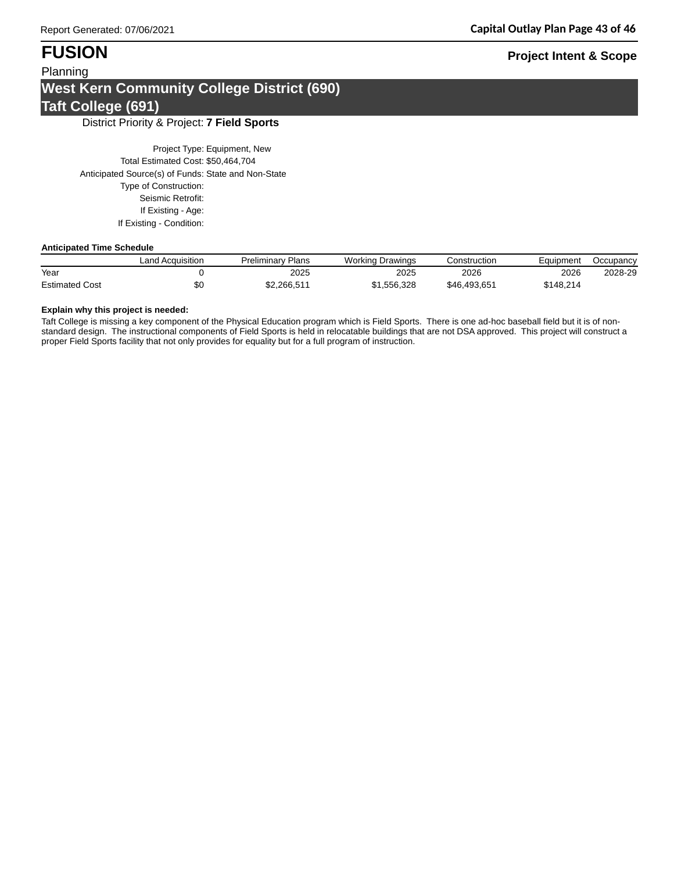## Planning **West Kern Community College District (690) Taft College (691)**

District Priority & Project: **7 Field Sports**

Project Type: Equipment, New Total Estimated Cost: \$50,464,704 Anticipated Source(s) of Funds: State and Non-State Type of Construction: Seismic Retrofit: If Existing - Age: If Existing - Condition:

### **Anticipated Time Schedule**

|                       | <b>Land Acquisition</b> | <b>Preliminary Plans</b> | Working Drawings | Construction | Eauipment | Occupancy |
|-----------------------|-------------------------|--------------------------|------------------|--------------|-----------|-----------|
| Year                  |                         | 2025                     | 2025             | 2026         | 2026      | 2028-29   |
| <b>Estimated Cost</b> | \$0                     | \$2.266.511              | \$1,556,328      | \$46.493.651 | \$148.214 |           |

### **Explain why this project is needed:**

Taft College is missing a key component of the Physical Education program which is Field Sports. There is one ad-hoc baseball field but it is of nonstandard design. The instructional components of Field Sports is held in relocatable buildings that are not DSA approved. This project will construct a proper Field Sports facility that not only provides for equality but for a full program of instruction.

# **FUSION Project Intent & Scope**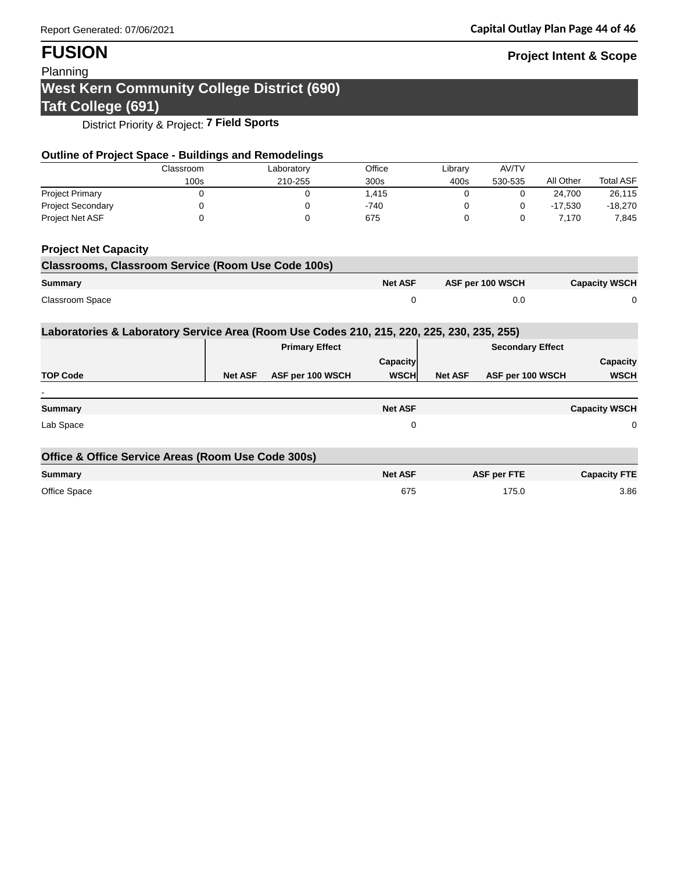# **FUSION Project Intent & Scope**

## Planning

## **West Kern Community College District (690) Taft College (691)**

District Priority & Project: **7 Field Sports**

| <b>Outline of Project Space - Buildings and Remodelings</b>                               |           |                |                       |                |                |                         |           |                      |
|-------------------------------------------------------------------------------------------|-----------|----------------|-----------------------|----------------|----------------|-------------------------|-----------|----------------------|
|                                                                                           | Classroom |                | Laboratory            | Office         | Library        | AV/TV                   |           |                      |
|                                                                                           | 100s      |                | 210-255               | 300s           | 400s           | 530-535                 | All Other | <b>Total ASF</b>     |
| <b>Project Primary</b>                                                                    | 0         |                | 0                     | 1,415          | 0              | 0                       | 24,700    | 26,115               |
| <b>Project Secondary</b>                                                                  | 0         |                | 0                     | $-740$         | 0              | 0                       | $-17,530$ | $-18,270$            |
| Project Net ASF                                                                           | 0         |                | 0                     | 675            | $\Omega$       | 0                       | 7,170     | 7,845                |
| <b>Project Net Capacity</b>                                                               |           |                |                       |                |                |                         |           |                      |
| <b>Classrooms, Classroom Service (Room Use Code 100s)</b>                                 |           |                |                       |                |                |                         |           |                      |
| <b>Summary</b>                                                                            |           |                |                       | <b>Net ASF</b> |                | ASF per 100 WSCH        |           | <b>Capacity WSCH</b> |
| Classroom Space                                                                           |           |                |                       | 0              |                | 0.0                     |           | 0                    |
| Laboratories & Laboratory Service Area (Room Use Codes 210, 215, 220, 225, 230, 235, 255) |           |                |                       |                |                |                         |           |                      |
|                                                                                           |           |                | <b>Primary Effect</b> |                |                | <b>Secondary Effect</b> |           |                      |
|                                                                                           |           |                |                       | Capacity       |                |                         |           | Capacity             |
| <b>TOP Code</b>                                                                           |           | <b>Net ASF</b> | ASF per 100 WSCH      | <b>WSCH</b>    | <b>Net ASF</b> | ASF per 100 WSCH        |           | <b>WSCH</b>          |
| <b>Summary</b>                                                                            |           |                |                       | <b>Net ASF</b> |                |                         |           | <b>Capacity WSCH</b> |
| Lab Space                                                                                 |           |                |                       | 0              |                |                         |           | 0                    |
| Office & Office Service Areas (Room Use Code 300s)                                        |           |                |                       |                |                |                         |           |                      |
| <b>Summary</b>                                                                            |           |                |                       | <b>Net ASF</b> |                | <b>ASF per FTE</b>      |           | <b>Capacity FTE</b>  |
| Office Space                                                                              |           |                |                       | 675            |                | 175.0                   |           | 3.86                 |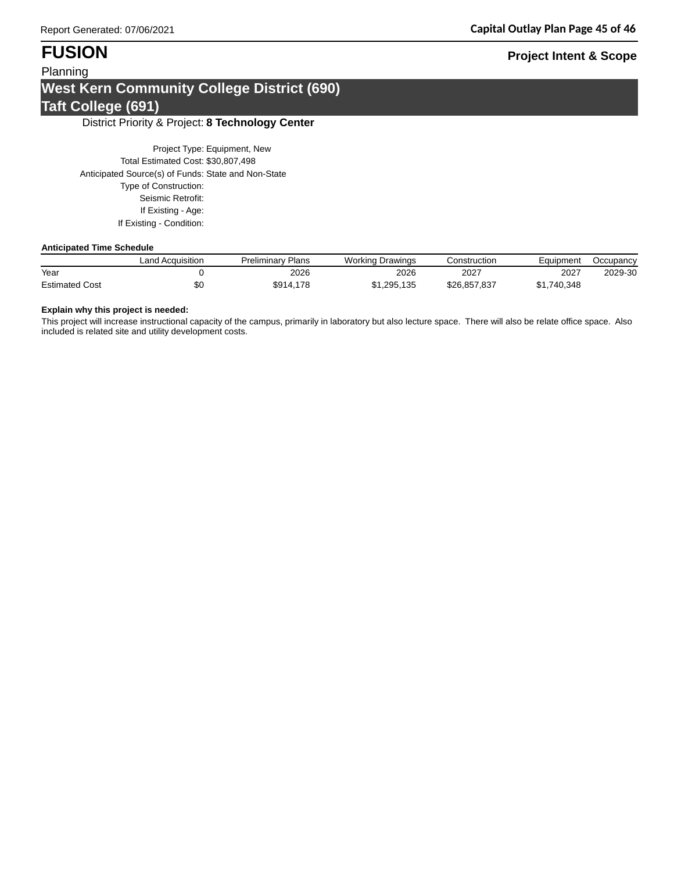## Planning **West Kern Community College District (690) Taft College (691)**

### District Priority & Project: **8 Technology Center**

Project Type: Equipment, New Total Estimated Cost: \$30,807,498 Anticipated Source(s) of Funds: State and Non-State Type of Construction: Seismic Retrofit: If Existing - Age: If Existing - Condition:

### **Anticipated Time Schedule**

|                       | ∟and Acquisition | <b>Preliminary Plans</b> | <b>Working Drawings</b> | Construction | Eauipment   | Occupancy |
|-----------------------|------------------|--------------------------|-------------------------|--------------|-------------|-----------|
| Year                  |                  | 2026                     | 2026                    | 2027         | 2027        | 2029-30   |
| <b>Estimated Cost</b> | ΦU               | \$914,178                | \$1,295,135             | \$26.857.837 | \$1.740.348 |           |

### **Explain why this project is needed:**

This project will increase instructional capacity of the campus, primarily in laboratory but also lecture space. There will also be relate office space. Also included is related site and utility development costs.

## **FUSION Project Intent & Scope**